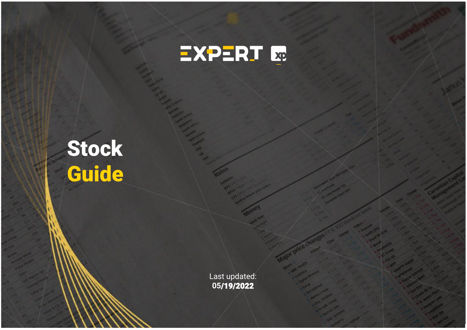

#### - - - - Target Actual Company Ticker Analyst Recommendation price price % Upside WE GIVE STRUCK LAGHI BUY 50,000 36,63 36,63 36,63 36,63 36,63 36,63 36,63 36,63 36,63 36,63 36,63 36,63 36,63 36,63 36,63 36,63 36,63 36,63 36,63 36,63 36,63 36,63 36,63 36,63 36,63 36,63 36,63 36,63 36,63 36,63 36,63 36,6 Aeris AERI3 Lucas Laghi Neutral 10,00 8,05 24,2%  $R_{\rm eff}$  and  $R_{\rm eff}$  is the set of  $R_{\rm eff}$  and  $R_{\rm eff}$  is the set of  $R_{\rm eff}$ Fras-Le FRAS3 Lucas Laghi Neutral 16,00 14,90 7,4%  $T_{\text{M}}$  and  $T_{\text{M}}$  and  $T_{\text{M}}$  and  $T_{\text{M}}$  and  $T_{\text{M}}$ Iochpe-Maxion MYPK3 Lucas Laghi Buy 27,00 16,88 60,0% Stock Guide

- 48,177 (1981) - 48,177 (1982) - 48,177 (1982)

BrasilAgro AGRO3 Leonardo Alencar Buy 34,20 27,59 24,0%

Marcopolo POMO4 Lucas Laghi Neutral 2,80 2,90 -3,4%

Company Ticker Analyst Recommendation price price % Upside Ânima ANIM3 Vitor Pini Buy 15,00 7,40 102,7% Yduqs YDUQ3 Vitor Pini Buy 50,70 24,22 109,3 24,22 109,3 24,22 109,3 24,22 109,3 24,22 109,3 24,22 109,3 24,22 Cogna COGN3 Vitor Pini Neutral 5,10 2,77 84,1% Ser SEER3 Vitor Pini Neutral 17,00 11,51 47,7%

Company Ticker Analyst Recommendation price price % Upside  $\blacksquare$ Engie Brasil EGIE3 Victor Burke Neutral 49,00 40,26 21,7% Cemig CMIG4 Victor Burke Neutral 13,00 13,95 -6,8% Cemig ADR CIG Victor Burke Neutral 2,60 2,54 2,4% Equatorial EQTL3 Victor Burke Buy 30,00 24,77 21,1% CTEEP TRPL4 Victor Burke Neutral 26,00 23,15 12,3%  $\blacksquare$  $E = \frac{1}{2}$ Copel CPLE6 Victor Burke Buy 8,00 6,30 27,0% Copel ADR ELP Victor Burke Buy 1,50 5,65 -73,5% Omega OMGE3 Victor Burke Buy 48,00 31,83 50,8% Cesp CESP6 Victor Burke Buy 33,00 26,27 25,6%

- Target Actual Actual Actual Actual Actual Actual Actual Actual Actual Actual Actual Actual Actual Actual Actual Actual Actual Actual Actual Actual Actual Actual Actual Actual Actual Actual Actual Actual Actual Actual Act

- Target Actual

Camil Alimentos CAML3 Not covered - - 10,36

M Dias Branco MDIA3 Not covered SLC Agricola SLCE3 Not covered

Embraer EMBR3 Not covered Mahle Metal-Leve LEVE3 Not covered

Cruzeiro do Sul CSED3 Not covered

Last updated: **05**/19/2022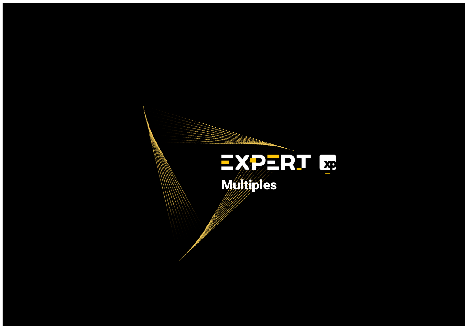#### - Target Actual Actual Actual Actual Actual Actual Actual Actual Actual Actual Actual Actual Actual Actual Actual Actual Actual Actual Actual Actual Actual Actual Actual Actual Actual Actual Actual Actual Actual Actual Act  $\mathbb{C}$  and  $\mathbb{C}$  and  $\mathbb{C}$  and  $\mathbb{C}$  and  $\mathbb{C}$   $\mathbb{C}$  and  $\mathbb{C}$   $\mathbb{C}$   $\mathbb{C}$   $\mathbb{C}$   $\mathbb{C}$   $\mathbb{C}$   $\mathbb{C}$   $\mathbb{C}$   $\mathbb{C}$   $\mathbb{C}$   $\mathbb{C}$   $\mathbb{C}$   $\mathbb{C}$   $\mathbb{C}$   $\mathbb{C}$   $\mathbb{C}$   $\math$  $\text{min}$  $\mathbf{M}$ ultiples

Santander Brasil SANB11 Vitor Pini Sell 36,00\* 34,71 3,7%

Sector average - - - - - -

BR partners BRBI11 Vitor Pini Buy 29,00\* 18,60 55,9%

 $\mathcal{A}(\mathcal{A})$  $\mathcal{M}(\mathcal{M})$ 

Jalles Machado JALL3 Leonardo Alencar Buy 14,00 10,37 35,0%

Sao Martinho SMTO3Leonardo Alencar Buy 38,00 40,75 -6,7%

 $\overline{A}$ 

Boa Safra Sementes SOJA3Leonardo Alencar Buy 18,00 14,72 22,3%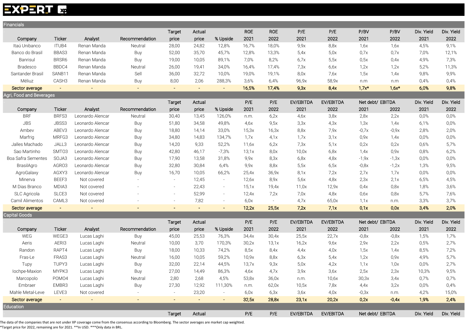#### **EXPERT Las**

| Financials               |               |                  |                |                          |        |                          |            |            |           |           |                  |         |            |            |
|--------------------------|---------------|------------------|----------------|--------------------------|--------|--------------------------|------------|------------|-----------|-----------|------------------|---------|------------|------------|
|                          |               |                  |                | <b>Target</b>            | Actual |                          | <b>ROE</b> | <b>ROE</b> | P/E       | P/E       | P/BV             | P/BV    | Div. Yield | Div. Yield |
| Company                  | Ticker        | Analyst          | Recommendation | price                    | price  | % Upside                 | 2021       | 2022       | 2021      | 2022      | 2021             | 2022    | 2021       | 2022       |
| Itaú Unibanco            | ITUB4         | Renan Manda      | Neutral        | 28,00                    | 24,82  | 12,8%                    | 16,7%      | 18,0%      | 9,9x      | 8,8x      | 1,6x             | 1,6x    | 4,5%       | 9,1%       |
| Banco do Brasil          | BBAS3         | Renan Manda      | Buy            | 52,00                    | 35,70  | 45,7%                    | 12,8%      | 13,3%      | 5,4x      | 5,0x      | 0,7x             | 0,7x    | 7,0%       | 12,1%      |
| Banrisul                 | BRSR6         | Renan Manda      | Buy            | 19,00                    | 10,05  | 89,1%                    | 7,0%       | 8,2%       | 6,7x      | 5,5x      | 0,5x             | 0,4x    | 4,9%       | 7,3%       |
| <b>Bradesco</b>          | BBDC4         | Renan Manda      | Neutral        | 26,00                    | 19,41  | 34,0%                    | 16,4%      | 17,4%      | 7,3x      | 6,6x      | 1,2x             | 1,2x    | 5,2%       | 11,3%      |
| Santander Brasil         | SANB11        | Renan Manda      | Sell           | 36,00                    | 32,72  | 10,0%                    | 19,0%      | 19,1%      | 8,0x      | 7,6x      | 1,5x             | 1,4x    | 9,8%       | 9,9%       |
| Méliuz                   | CASH3         | Renan Manda      | Buy            | 8,00                     | 2,06   | 288,3%                   | 3,6%       | 6,4%       | 96,9x     | 58,9x     | n.m              | n.m     | 0,4%       | 0,4%       |
| Sector average           | $\sim$        | $\blacksquare$   | $\blacksquare$ | $\sim$                   | $\sim$ | $\sim$                   | 16,5%      | 17,4%      | 9,3x      | 8,4x      | $1,7x*$          | $1,6x*$ | 6,0%       | 9,8%       |
| Agri, Food and Beverages |               |                  |                |                          |        |                          |            |            |           |           |                  |         |            |            |
|                          |               |                  |                | <b>Target</b>            | Actual |                          | P/E        | P/E        | EV/EBITDA | EV/EBITDA | Net debt/ EBITDA |         | Div. Yield | Div. Yield |
| Company                  | Ticker        | Analyst          | Recommendation | price                    | price  | % Upside                 | 2021       | 2022       | 2021      | 2022      | 2021             | 2022    | 2021       | 2022       |
| <b>BRF</b>               | BRFS3         | Leonardo Alencar | Neutral        | 30,40                    | 13,45  | 126,0%                   | n.m.       | 6,2x       | 4,6x      | 3,8x      | 2,8x             | 2,2x    | 0,0%       | 0,0%       |
| <b>JBS</b>               | JBSS3         | Leonardo Alencar | Buy            | 51,80                    | 34,58  | 49,8%                    | 4,6x       | 9,5x       | 3,3x      | 4,3x      | 1,3x             | 1,4x    | 6,1%       | 0,0%       |
| Ambev                    | ABEV3         | Leonardo Alencar | Buy            | 18,80                    | 14,14  | 33,0%                    | 15,3x      | 16,3x      | 8,8x      | 7,9x      | $-0,7x$          | $-0,9x$ | 2,8%       | 2,0%       |
| Marfrig                  | MRFG3         | Leonardo Alencar | Buy            | 34,80                    | 14,83  | 134,7%                   | 1,7x       | 4,1x       | 1,7x      | 3,1x      | 0,9x             | 1,4x    | 0,0%       | 0,0%       |
| Jalles Machado           | JALL3         | Leonardo Alencar | Buy            | 14,20                    | 9,33   | 52,2%                    | 11,6x      | 6,2x       | 7,3x      | 5,1x      | 0,2x             | 0,2x    | 0,6%       | 5,7%       |
| Sao Martinho             | SMT03         | Leonardo Alencar | Buy            | 42,80                    | 46,17  | $-7,3%$                  | 13,1x      | 8,0x       | 10,0x     | 6,8x      | 1,4x             | 0,9x    | 0,8%       | 6,2%       |
| Boa Safra Sementes       | SOJA3         | Leonardo Alencar | Buy            | 17,90                    | 13,58  | 31,8%                    | 9,9x       | 8,3x       | 6,8x      | 4,8x      | $-1,9x$          | $-1,3x$ | 0,0%       | 0,0%       |
| BrasilAgro               | AGRO3         | Leonardo Alencar | Buy            | 32,80                    | 30,84  | 6,4%                     | 9,9x       | 8,8x       | 5,5x      | 6,5x      | $-0,8x$          | $-1,2x$ | 1,3%       | 9,5%       |
| AgroGalaxy               | AGXY3         | Leonardo Alencar | Buy            | 16,70                    | 10,05  | 66,2%                    | 25,4x      | 36,9x      | 8,1x      | 7,2x      | 2,7x             | 1,7x    | 0,0%       | 0,0%       |
| Minerva                  | BEEF3         | Not covered      |                | $\overline{\phantom{a}}$ | 12,45  | $\sim$                   | 12,6x      | 8,9x       | 5,6x      | 4,8x      | 2,3x             | 2,1x    | 6,5%       | 4,5%       |
| M Dias Branco            | MDIA3         | Not covered      |                | $\overline{\phantom{a}}$ | 22,43  | $\overline{\phantom{a}}$ | 15,1x      | 19,4x      | 11,0x     | 12,9x     | 0,4x             | 0,8x    | 1,8%       | 3,6%       |
| SLC Agricola             | SLCE3         | Not covered      |                | $\sim$                   | 52,99  | $\sim$                   | 12,4x      | 7,2x       | 7,0x      | 4,8x      | 0,6x             | 0,8x    | 5,7%       | 7,6%       |
| Camil Alimentos          | CAML3         | Not covered      |                | $\overline{\phantom{a}}$ | 7,82   | $\sim$                   | 6,0x       |            | 4,7x      | 65,0x     | 1,1x             | n.m.    | 3,3%       | 3,7%       |
| Sector average           | $\sim$        |                  |                | $\blacksquare$           |        | $\blacksquare$           | 12,2x      | 25,5x      | 7,2x      | 7,1x      | 0,1x             | 0,0x    | 3,4%       | 2,0%       |
| <b>Capital Goods</b>     |               |                  |                |                          |        |                          |            |            |           |           |                  |         |            |            |
|                          |               |                  |                | Target                   | Actual |                          | P/E        | P/E        | EV/EBITDA | EV/EBITDA | Net debt/ EBITDA |         | Div. Yield | Div. Yield |
| Company                  | <b>Ticker</b> | Analyst          | Recommendation | price                    | price  | % Upside                 | 2021       | 2022       | 2021      | 2022      | 2021             | 2022    | 2021       | 2022       |
| WEG                      | WEGE3         | Lucas Laghi      | Buy            | 45,00                    | 25,53  | 76,3%                    | 34,4x      | 30,4x      | 25,5x     | 22,7x     | $-0,8x$          | $-0,8x$ | 1,5%       | 1,7%       |
| Aeris                    | AERI3         | Lucas Laghi      | Neutral        | 10,00                    | 3,70   | 170,3%                   | 30,2x      | 13,1x      | 16,2x     | 9,6x      | 2,9x             | 2,2x    | 0,5%       | 2,7%       |
| Randon                   | RAPT4         | Lucas Laghi      | Buy            | 18,00                    | 10,33  | 74,2%                    | 8,5x       | 8,4x       | 4,4x      | 4,0x      | 1,5x             | 1,4x    | 8,5%       | 7,2%       |
| Fras-Le                  | FRAS3         | Lucas Laghi      | Neutral        | 16,00                    | 10,05  | 59,2%                    | 10,9x      | 8,8x       | 6,3x      | 5,4x      | 1,2x             | 0,9x    | 4,9%       | 5,7%       |
| Tupy                     | TUPY3         | Lucas Laghi      | Buy            | 32,00                    | 22,14  | 44,5%                    | 13,7x      | 9,3x       | 5,0x      | 4,2x      | 1,1x             | 1,0x    | 0,0%       | 2,7%       |
| lochpe-Maxion            | MYPK3         | Lucas Laghi      | Buy            | 27,00                    | 14,49  | 86,3%                    | 4,6x       | 4,7x       | 3,9x      | 3,6x      | 2,5x             | 2,3x    | 10,3%      | 9,5%       |
| Marcopolo                | POMO4         | Lucas Laghi      | Neutral        | 2,80                     | 2,68   | 4,5%                     | 53,8x      | 36,0x      | n.m.      | 10,6x     | 30,3x            | 3,4x    | 0,7%       | 0,7%       |
| Embraer                  | EMBR3         | Lucas Laghi      | Buy            | 27,30                    | 12,92  | 111,30%                  | n.m.       | 62,0x      | 10,5x     | 7,8x      | 4,4x             | 3,2x    | 0,0%       | 0,4%       |
| Mahle Metal-Leve         | LEVE3         | Not covered      |                | $\overline{\phantom{a}}$ | 23,20  | $\sim$                   | 6,0x       | 6,3x       | 3,6x      | 4,0x      | $-0,3x$          | n.m.    | 4,2%       | 15,0%      |
| Sector average           | $\sim$ $-$    | $\blacksquare$   | $\blacksquare$ | $\sim$                   | $\sim$ | $\sim$                   | 32,5x      | 28,8x      | 23,1x     | 20,2x     | 0,2x             | $-0,4x$ | 1,9%       | 2,4%       |
| <b>Education</b>         |               |                  |                |                          |        |                          |            |            |           |           |                  |         |            |            |
|                          |               |                  |                | Target                   | Actual |                          | P/E        | P/E        | EV/EBITDA | EV/EBITDA | Net debt/ EBITDA |         | Div. Yield | Div. Yield |
|                          |               |                  |                |                          |        |                          |            |            |           |           |                  |         |            |            |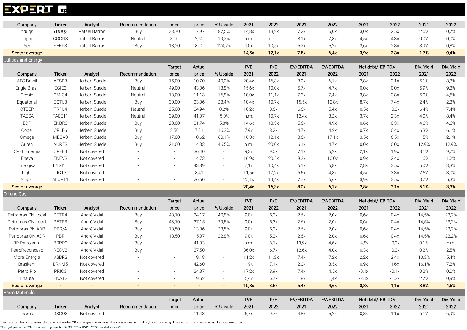#### **EXPERT E**

| Company                     | Ticker         | Analyst        | Recommendation | price                    | price    | % Upside       | 2021  | 2022  | 2021      | 2022      | 2021             | 2022    | 2021       | 2022       |
|-----------------------------|----------------|----------------|----------------|--------------------------|----------|----------------|-------|-------|-----------|-----------|------------------|---------|------------|------------|
| Yduqs                       | YDUQ3          | Rafael Barros  | Buy            | 33,70                    | 17,97    | 87,5%          | 14,8x | 13,2x | 7,2x      | 6,0x      | 3,0x             | 2,5x    | 2,6%       | 0,7%       |
| Cogna                       | COGN3          | Rafael Barros  | Neutral        | 3,10                     | 2,60     | 19,2%          | n.m.  | n.m.  | 8,1x      | 7,8x      | 4,5x             | 4,3x    | 0,0%       | 0,0%       |
| Ser                         | SEER3          | Rafael Barros  | Buy            | 18,20                    | 8,10     | 124,7%         | 9,0x  | 10,5x | 5,2x      | 5,2x      | 2,6x             | 2,8x    | 3,9%       | 0,8%       |
| Sector average              | $\blacksquare$ | $\sim$         |                | $\sim$                   | $\alpha$ | $\sim$         | 14,5x | 12,1x | 7,5x      | 6,4x      | 3,9x             | 3,3x    | 1,7%       | 0,4%       |
| <b>Utilities and Energy</b> |                |                |                |                          |          |                |       |       |           |           |                  |         |            |            |
|                             |                |                |                | <b>Target</b>            | Actual   |                | P/E   | P/E   | EV/EBITDA | EV/EBITDA | Net debt/ EBITDA |         | Div. Yield | Div. Yield |
| Company                     | Ticker         | Analyst        | Recommendation | price                    | price    | % Upside       | 2021  | 2022  | 2021      | 2022      | 2021             | 2022    | 2021       | 2022       |
| <b>AES Brasil</b>           | AESB3          | Herbert Suede  | Buy            | 15,00                    | 10,70    | 40,2%          | 20,4x | 16,3x | 8,0x      | 6,1x      | 2,8x             | 2,1x    | 5,1%       | 3,3%       |
| Engie Brasil                | EGIE3          | Herbert Suede  | Neutral        | 49,00                    | 43,06    | 13,8%          | 15,6x | 10,0x | 5,7x      | 4,7x      | 0,0x             | 0,0x    | 5,9%       | 9,3%       |
| Cemig                       | CMIG4          | Herbert Suede  | Neutral        | 13,00                    | 11,13    | 16,8%          | 10,0x | 11,1x | 7,3x      | 7,4x      | 3,8x             | 3,8x    | 5,0%       | 4,5%       |
| Equatorial                  | EQTL3          | Herbert Suede  | Buy            | 30,00                    | 23,36    | 28,4%          | 10,4x | 10,7x | 15,5x     | 12,8x     | 8,7x             | 7,4x    | 2,4%       | 2,3%       |
| <b>CTEEP</b>                | TRPL4          | Herbert Suede  | Neutral        | 25,00                    | 24,94    | 0,2%           | 10,2x | 8,6x  | 6,6х      | 5,4x      | 0,5x             | $-0,2x$ | 6,4%       | 7,4%       |
| <b>TAESA</b>                | TAEE11         | Herbert Suede  | Neutral        | 39,00                    | 41,07    | $-5,0%$        | n.m.  | 10,7x | 12,4x     | 8,2x      | 3,7x             | 2,3x    | 4,0%       | 8,4%       |
| <b>EDP</b>                  | ENBR3          | Herbert Suede  | Buy            | 23,00                    | 21,74    | 5,8%           | 14,6x | 13,3x | 5,6x      | 4,9x      | 0,6x             | 0,3x    | 4,6%       | 4,6%       |
| Copel                       | CPLE6          | Herbert Suede  | Buy            | 8,50                     | 7,31     | 16,3%          | 7,9x  | 8,2x  | 4,7x      | 4,2x      | 0.7x             | 0,4x    | 6,3%       | 6,1%       |
| Omega                       | MEGA3          | Herbert Suede  | Buy            | 17,00                    | 10,62    | 60,1%          | 16,3x | 12,1x | 8,6x      | 17,1x     | 3,5x             | 6,5x    | 1,5%       | 2,1%       |
| Auren                       | AURE3          | Herbert Suede  | Buy            | 21,00                    | 14,33    | 46,5%          | n.m.  | 20,0x | 6,1x      | 4,7x      | 0,0x             | 0,0x    | 12,9%      | 12,9%      |
| CPFL Energia                | CPFE3          | Not covered    |                | $\sim$                   | 36,40    | $\sim$         | 9,3x  | 9,0x  | 7,1x      | 6,2x      | 2,1x             | 1,9x    | 8,1%       | 9,7%       |
| Eneva                       | ENEV3          | Not covered    |                | $\overline{\phantom{a}}$ | 14,73    | $\sim$         | 16,9x | 20,5x | 9,3x      | 10,0x     | 0,9x             | 2,4x    | 1,6%       | 1,2%       |
| Energisa                    | ENGI11         | Not covered    |                | $\overline{\phantom{a}}$ | 43,89    | $\sim$         | 7,1x  | 10,4x | 6,1x      | 6,8x      | 2,8x             | 3,5x    | 5,0%       | 3,3%       |
| Light                       | LIGT3          | Not covered    |                | $\overline{\phantom{a}}$ | 8,41     | $\sim$         | 11,5x | 17,2x | 6,5x      | 4,8x      | 4,5x             | 3,3x    | 2,6%       | 3,0%       |
| Alupar                      | ALUP11         | Not covered    |                |                          | 26,60    |                | 25,1x | 14,4x | 7,7x      | 6,6x      | 3,9x             | 3,5x    | 3,7%       | 5,3%       |
| Sector average              | $\sim$         | $\blacksquare$ |                | $\sim$                   | $\sim$   | $\sim$ $^{-1}$ | 20,4x | 16,3x | 8,0x      | 6,1x      | 2,8x             | 2,1x    | 5,1%       | 3,3%       |
| Oil and Gas                 |                |                |                |                          |          |                |       |       |           |           |                  |         |            |            |
|                             |                |                |                | Target                   | Actual   |                | P/E   | P/E   | EV/EBITDA | EV/EBITDA | Net debt/ EBITDA |         | Div. Yield | Div. Yield |
| Company                     | <b>Ticker</b>  | Analyst        | Recommendation | price                    | price    | % Upside       | 2021  | 2022  | 2021      | 2022      | 2021             | 2022    | 2021       | 2022       |
| Petrobras PN Local          | PETR4          | André Vidal    | Buy            | 48,10                    | 34,17    | 40,8%          | 9,0x  | 5,3x  | 2,6x      | 2,0x      | 0,6x             | 0,4x    | 14,5%      | 23,2%      |
| Petrobras ON Local          | PETR3          | André Vidal    | Buy            | 48,10                    | 37,15    | 29,5%          | 9,0x  | 5,3x  | 2,6x      | 2,0x      | 0,6x             | 0,4x    | 14,5%      | 23,2%      |
| Petrobras PN ADR            | PBR/A          | André Vidal    | Buy            | 18,50                    | 13,86    | 33,5%          | 9,0x  | 5,3x  | 2,6x      | 2,0x      | 0,6x             | 0,4x    | 14,5%      | 23,2%      |
| Petrobras ON ADR            | PBR            | André Vidal    | Buy            | 18,50                    | 15,07    | 22,8%          | 9,0x  | 5,3x  | 2,6x      | 2,0x      | 0,6x             | 0,4x    | 14,5%      | 23,2%      |
| 3R Petroleum                | RRRP3          | André Vidal    | Buy            | $\sim$                   | 41,83    | $\sim$         | n.m.  | 8,1x  | 13,9x     | 4,6x      | $-4,8x$          | $-0,2x$ | 0,1%       | n.m.       |
| PetroReconcavo              | RECV3          | André Vidal    | Buy            |                          | 27,50    |                | 36,0x | 6,7x  | 12,6x     | 4,0x      | 0,3x             | $-0,3x$ | 0,2%       | 2,5%       |
| Vibra Energia               | VBBR3          | Not covered    |                |                          | 19,18    |                | 11,2x | 11,2x | 7,4x      | 7,2x      | 2,2x             | 2,4x    | 10,3%      | 5,4%       |
| Braskem                     | BRKM5          | Not covered    |                |                          | 42,60    |                | 1,9x  | 7,1x  | 2,0x      | 3,5x      | 0,9x             | 1,6x    | 16,1%      | 7,8%       |
| Petro Rio                   | PRIO3          | Not covered    |                |                          | 24,87    |                | 17,2x | 8,9x  | 7,4x      | 4,5x      | $-0.1x$          | $-0,1x$ | 0,2%       | 0,0%       |
| Enauta                      | ENAT3          | Not covered    |                | $\overline{\phantom{a}}$ | 19,52    |                | 5,4x  | 6,7x  | 1,8x      | 1,4x      | $-2,1x$          | $-1,3x$ | 2,7%       | 0,9%       |
| Sector average              | $\sim$         | $\sim$         | $\equiv$       | $\equiv$ .               | $\sim$   | $\sim$         | 10,8x | 8,5x  | 5,4x      | 4,6x      | 0,8x             | 1,1x    | 8,8%       | 4,5%       |
| <b>Basic Materials</b>      |                |                |                |                          |          |                |       |       |           |           |                  |         |            |            |
|                             |                |                |                | <b>Target</b>            | Actual   |                | P/E   | P/E   | EV/EBITDA | EV/EBITDA | Net debt/ EBITDA |         | Div. Yield | Div. Yield |
| Company                     | Ticker         | Analyst        | Recommendation | price                    | price    | % Upside       | 2021  | 2022  | 2021      | 2022      | 2021             | 2022    | 2021       | 2022       |
| Dexco                       | DXCO3          | Not covered    |                |                          | 11,43    | $\sim$         | 6,7x  | 9,7x  | 4,8x      | 5,2x      | 0,8x             | 1,1x    | 6,1%       | 6,9%       |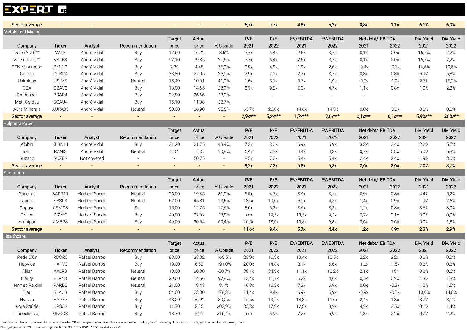#### **EXPERT L<sub>op</sub>**

|                                            | $\blacksquare$    | $\overline{\phantom{a}}$ |                | $\blacksquare$ |        |          |           |           |           |           |                  |           |            |            |
|--------------------------------------------|-------------------|--------------------------|----------------|----------------|--------|----------|-----------|-----------|-----------|-----------|------------------|-----------|------------|------------|
| Sector average<br><b>Metals and Mining</b> |                   |                          |                |                |        |          | 6,7x      | 9,7x      | 4,8x      | 5,2x      | 0,8x             | 1,1x      | 6,1%       | 6,9%       |
|                                            |                   |                          |                | <b>Target</b>  | Actual |          | P/E       | P/E       | EV/EBITDA | EV/EBITDA | Net debt/ EBITDA |           | Div. Yield | Div. Yield |
| Company                                    | <b>Ticker</b>     | Analyst                  | Recommendation | price          | price  | % Upside | 2021      | 2022      | 2021      | 2022      | 2021             | 2022      | 2021       | 2022       |
| Vale (ADR)**                               | VALE              | André Vidal              | Buy            | 17,60          | 16,22  | 8,5%     | 3,7x      | 6,4x      | 2,5x      | 3,7x      | 0,1x             | 0,0x      | 16,7%      | 7,2%       |
| Vale (Local)**                             | VALE3             | André Vidal              | Buy            | 97,10          | 79,85  | 21,6%    | 3,7x      | 6,4x      | 2,5x      | 3,7x      | 0,1x             | 0,0x      | 16,7%      | 7,2%       |
| CSN Mineração                              | CMIN3             | André Vidal              | Buy            | 7,80           | 4,45   | 75,3%    | 3,8x      | 4,8x      | 1,8x      | 2,6x      | $-0,4x$          | $-0,1x$   | 14,5%      | 10,5%      |
| Gerdau                                     | GGBR4             | André Vidal              | Buy            | 33,80          | 27,05  | 25,0%    | 2,9x      | 7,1x      | 2,2x      | 3,7x      | 0,3x             | 0,3x      | 5,9%       | 5,8%       |
| Usiminas                                   | USIM <sub>5</sub> | André Vidal              | Neutral        | 15,49          | 10,91  | 41,9%    | 1,6x      | 5,1x      | 0,7x      | 1,9x      | $-0,3x$          | $-1,0x$   | 2,7%       | 15,2%      |
| CBA                                        | CBAV3             | André Vidal              | Buy            | 18,00          | 14,65  | 22,9%    | 8,9x      | 9,2x      | 5,0x      | 4,7x      | 1,1x             | 0,8x      | 1,0%       | 2,8%       |
| Bradespar                                  | BRAP4             | André Vidal              | Buy            | 32,80          | 26,66  | 23,0%    |           |           |           |           |                  |           |            |            |
| Met. Gerdau                                | GOAU4             | André Vidal              | Buy            | 15,10          | 11,38  | 32,7%    | $\sim$    |           |           |           |                  |           |            |            |
| Aura Minerals                              | AURA33            | André Vidal              | Neutral        | 50,00          | 36,90  | 35,5%    | 63,7x     | 26,8x     | 14,6x     | 14,3x     | 0,0x             | $-0,2x$   | 0,0%       | 0,0%       |
| Sector average                             | $\sim$            | $\blacksquare$           |                | $\sim$         | $\sim$ | $\sim$   | $2.9x***$ | $5.2x***$ | $1,7x***$ | $2,6x***$ | $0.1x***$        | $0.1x***$ | $5.9%$ *** | $6,6%***$  |
| <b>Pulp and Paper</b>                      |                   |                          |                |                |        |          |           |           |           |           |                  |           |            |            |
|                                            |                   |                          |                | Target         | Actual |          | P/E       | P/E       | EV/EBITDA | EV/EBITDA | Net debt/ EBITDA |           | Div. Yield | Div. Yield |
| Company                                    | <b>Ticker</b>     | Analyst                  | Recommendation | price          | price  | % Upside | 2021      | 2022      | 2021      | 2022      | 2021             | 2022      | 2021       | 2022       |
| Klabin                                     | KLBN11            | André Vidal              | Buy            | 31,20          | 21,75  | 43,4%    | 7,3x      | 8,0x      | 6,9x      | 6,9x      | 3,3x             | 3,4x      | 2,2%       | 5,5%       |
| Irani                                      | RANI3             | André Vidal              | Neutral        | 8,04           | 7,26   | 10,8%    | 6,4x      | 7,3x      | 4,4x      | 4,3x      | 0.7x             | 0,8x      | 5,0%       | 5,8%       |
| Suzano                                     | SUZB3             | Not covered              |                |                | 50,75  | $\sim$   | 8,5x      | 7,0x      | 5,4x      | 5,4x      | 2,4x             | 2,4x      | 1,9%       | 3,0%       |
| Sector average                             | $\sim$            | $\sim$                   |                | $\sim$         | $\sim$ | $\sim$   | 8,2x      | 7,3x      | 5,8x      | 5,8x      | 2,6x             | 2,6x      | 2,0%       | 3,7%       |
| Sanitation                                 |                   |                          |                |                |        |          |           |           |           |           |                  |           |            |            |
|                                            |                   |                          |                | <b>Target</b>  | Actual |          | P/E       | P/E       | EV/EBITDA | EV/EBITDA | Net debt/ EBITDA |           | Div. Yield | Div. Yield |
| Company                                    | <b>Ticker</b>     | Analyst                  | Recommendation | price          | price  | % Upside | 2021      | 2022      | 2021      | 2022      | 2021             | 2022      | 2021       | 2022       |
| Sanepar                                    | SAPR11            | Herbert Suede            | Neutral        | 26,00          | 19,85  | 31,0%    | 5,5x      | 4,7x      | 3,6x      | 3,1x      | 0,9x             | 0,8x      | 4,4%       | 5,2%       |
| Sabesp                                     | SBSP3             | Herbert Suede            | Neutral        | 52,00          | 45,81  | 13,5%    | 13,6x     | 10,0x     | 5,9x      | 4,5x      | 1,4x             | 0,9x      | 1,9%       | 2,6%       |
| Copasa                                     | CSMG3             | Herbert Suede            | Sell           | 15,00          | 12,75  | 17,6%    | 5,6x      | 6,2x      | 3,6x      | 3,2x      | 1,2x             | 0,8x      | 3,6%       | 3,0%       |
| Orizon                                     | ORVR3             | Herbert Suede            | Buy            | 40,00          | 32,32  | 23,8%    | n.m.      | 19,5x     | 13,5x     | 9,3x      | 0.7x             | 2,1x      | 0,0%       | 0,0%       |
| Ambipar                                    | AMBP3             | Herbert Suede            | Buy            | 49,00          | 30,54  | 60,4%    | 20,5x     | 18,6x     | 10,3x     | 6,8x      | 3,6x             | 2,6x      | $0,0\%$    | 1,8%       |
| Sector average                             | $\sim$            | $\blacksquare$           | $\sim$         | $\sim$         | $\sim$ | $\sim$   | 11,6x     | 9,4x      | 5,7x      | 4,4x      | 1,2x             | 0,9x      | 2,3%       | 2,9%       |
| Healthcare                                 |                   |                          |                |                |        |          |           |           |           |           |                  |           |            |            |
|                                            |                   |                          |                | Target         | Actual |          | P/E       | P/E       | EV/EBITDA | EV/EBITDA | Net debt/ EBITDA |           | Div. Yield | Div. Yield |
| Company                                    | <b>Ticker</b>     | Analyst                  | Recommendation | price          | price  | % Upside | 2021      | 2022      | 2021      | 2022      | 2021             | 2022      | 2021       | 2022       |
| Rede D'Or                                  | RDOR3             | Rafael Barros            | Buy            | 88,00          | 33,02  | 166,5%   | 23,9x     | 16,9x     | 13,4x     | 10,5x     | 2,2x             | 2,2x      | 0,0%       | 0,0%       |
| Hapvida                                    | HAPV3             | Rafael Barros            | Buy            | 19,00          | 6,53   | 191,0%   | 20,0x     | 14,8x     | 8,1x      | 6,6x      | $-1,2x$          | $-1,5x$   | 0,8%       | 0,8%       |
| Alliar                                     | AALR3             | Rafael Barros            | Neutral        | 10,00          | 20,30  | $-50,7%$ | 38,1x     | 34,9x     | 11,1x     | 10,2x     | 2,1x             | 1,8x      | 0,2%       | 0,6%       |
| Fleury                                     | FLRY3             | Rafael Barros            | Neutral        | 29,00          | 14,66  | 97,8%    | 13,4x     | 11,7x     | 5,2x      | 4,6x      | 0,5x             | 0,2x      | 1,3%       | 1,8%       |
| Hermes Pardini                             | PARD3             | Rafael Barros            | Neutral        | 21,00          | 19,43  | 8,1%     | 16,3x     | 16,2x     | 7,2x      | 6,9x      | 0,0x             | $-0,2x$   | 1,2%       | 1,5%       |
| Blau                                       | BLAU3             | Rafael Barros            | Buy            | 64,00          | 23,00  | 178,3%   | 11,4x     | 9,4x      | 6,9x      | 5,9x      | $-0,9x$          | $-0,7x$   | 10,9%      | 14,0%      |
| Hypera                                     | HYPE3             | Rafael Barros            | Buy            | 48,00          | 36,92  | 30,0%    | 15,5x     | 13,7x     | 14,3x     | 11,6x     | 2,4x             | 1,8x      | 3,7%       | 3,1%       |
| Kora Saúde                                 | KRSA3             | Rafael Barros            | Buy            | 11,70          | 3,85   | 203,9%   | 85,3x     | 17,9x     | 12,8x     | 8,2x      | 4,2x             | 3,5x      | 0,1%       | 1,4%       |
| Oncoclínicas                               | ONCO <sub>3</sub> | Rafael Barros            | Buy            | 18,70          | 5,91   | 216,4%   | n.m.      | 5,9x      | 7,2x      | 5,9x      | 1,3x             | 2,2x      | 0,7%       | 2,2%       |
|                                            |                   |                          |                |                |        |          |           |           |           |           |                  |           |            |            |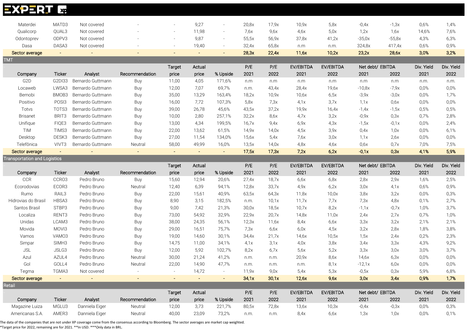| <b>EXPERT</b>                       | $\mathbf{x}$      |                   |                |                          |                |                |       |       |              |               |                  |          |            |            |
|-------------------------------------|-------------------|-------------------|----------------|--------------------------|----------------|----------------|-------|-------|--------------|---------------|------------------|----------|------------|------------|
| Materdei                            | MATD3             | Not covered       |                |                          | 9,27           | $\sim$         | 20,8x | 17,9x | 10.9x        | 5,8x          | $-0.4x$          | $-1,3x$  | 0,6%       | 1,4%       |
| Qualicorp                           | QUAL3             | Not covered       |                |                          | 11,98          | $\sim$         | 7,6x  | 9,6x  | 4,6x         | 5,0x          | 1,2x             | 1,6x     | 14,6%      | 7,6%       |
| Odontoprev                          | ODPV3             | Not covered       |                | $\overline{\phantom{a}}$ | 9,87           | $\sim$         | 55,5x | 56,9x | 37,8x        | 41,2x         | $-35,0x$         | $-55,8x$ | 4,3%       | 6,3%       |
| Dasa                                | DASA3             | Not covered       |                |                          | 19,40          |                | 32,4x | 65,8x |              |               | 324,8x           | 417,4x   | 0,6%       | 0,9%       |
| Sector average                      | $\sim$            | $\sim$            |                |                          | $\equiv$       | $\sim$         | 28,3x | 22,4x | n.m<br>11,6x | n.m.<br>10,2x | 23,2x            | 28,6x    | 3,0%       | 3,2%       |
| <b>TMT</b>                          |                   |                   |                |                          |                |                |       |       |              |               |                  |          |            |            |
|                                     |                   |                   |                | <b>Target</b>            | Actual         |                | P/E   | P/E   | EV/EBITDA    | EV/EBITDA     | Net debt/ EBITDA |          | Div. Yield | Div. Yield |
| Company                             | Ticker            | Analyst           | Recommendation | price                    | price          | % Upside       | 2021  | 2022  | 2021         | 2022          | 2021             | 2022     | 2021       | 2022       |
| G <sub>2</sub> D                    | G2DI33            | Bernardo Guttmann | Buy            | 11,00                    | 4,05           | 171,6%         | n.m   | n.m   | n.m          | n.m           | n.m              | n.m      | n.m.       | n.m.       |
| Locaweb                             | LWSA3             | Bernardo Guttmann | Buy            | 12,00                    | 7,07           | 69,7%          | n.m.  | 43,4x | 28,4x        | 19,6x         | $-10,8x$         | $-7,9x$  | 0,0%       | 0,0%       |
| Bemobi                              | BMOB3             | Bernardo Guttmann | Buy            | 35,00                    | 13,29          | 163,4%         | 18,2x | 10,9x | 10,6x        | 6,5x          | $-3,9x$          | $-3,0x$  | 0,0%       | 1,7%       |
| Positivo                            | POSI3             | Bernardo Guttmann | Buy            | 16,00                    | 7,72           | 107,3%         | 5,8x  | 7,3x  | 4,1x         | 3,7x          | 1,1x             | 0,6x     | 0,0%       | 0,0%       |
| Totvs                               | TOTS3             | Bernardo Guttmann | Buy            | 39,00                    | 26,78          | 45,6%          | 43,5x | 37,2x | 19,9x        | 16,4x         | $-1,4x$          | $-1,5x$  | 0,5%       | 0,5%       |
| <b>Brisanet</b>                     | BRIT3             | Bernardo Guttmann | Buy            | 10,00                    | 2,80           | 257,1%         | 32,2x | 8,6x  | 4,7x         | 3,2x          | $-0,9x$          | 0,3x     | 0,7%       | 2,8%       |
| Unifique                            | FIQE3             | Bernardo Guttmann | Buy            | 13,00                    | 4,34           | 199,5%         | 16,7x | 9,4x  | 6,9x         | 4,3x          | $-1,5x$          | $-0,1x$  | 0,0%       | 2,4%       |
| <b>TIM</b>                          | TIMS3             | Bernardo Guttmann | Buy            | 22,00                    | 13,62          | 61,5%          | 14,9x | 14,0x | 4,5x         | 3,9x          | 0,4x             | 1,0x     | 0,0%       | 6,1%       |
| Desktop                             | DESK3             | Bernardo Guttmann | Buy            | 27,00                    | 11,54          | 134,0%         | 15,6x | 5,4x  | 7,6x         | 3,0x          | 1.1x             | 2,6x     | 0.0%       | 0,0%       |
| Telefônica                          | VIVT3             | Bernardo Guttmann | Neutral        | 58,00                    | 49,99          | 16,0%          | 13,5x | 14,0x | 4,8x         | 4,6x          | 0,6x             | 0,7x     | 7,0%       | 7,5%       |
| Sector average                      | $\sim$            |                   | $\sim$         | $\sim$                   | $\sim$         | $\sim$         | 17,5x | 17,3x | 7,2x         | 6,2x          | $-0,1x$          | 0,3x     | 4,1%       | 5,9%       |
| <b>Transportation and Logistics</b> |                   |                   |                |                          |                |                |       |       |              |               |                  |          |            |            |
|                                     |                   |                   |                | Target                   | Actual         |                | P/E   | P/E   | EV/EBITDA    | EV/EBITDA     | Net debt/ EBITDA |          | Div. Yield | Div. Yield |
| Company                             | Ticker            | Analyst           | Recommendation | price                    | price          | % Upside       | 2021  | 2022  | 2021         | 2022          | 2021             | 2022     | 2021       | 2022       |
| <b>CCR</b>                          | CCRO3             | Pedro Bruno       | Buy            | 15,60                    | 12,94          | 20,6%          | 27,4x | 18,7x | 6,6x         | 6,8x          | 2,8x             | 2,9x     | 1,6%       | 2,5%       |
| Ecorodovias                         | ECOR3             | Pedro Bruno       | Neutral        | 12,40                    | 6,39           | 94,1%          | 12,8x | 33,7x | 4,9x         | 6,2x          | 3,0x             | 4,1x     | 0,6%       | 0,9%       |
| Rumo                                | RAIL3             | Pedro Bruno       | Buy            | 22,00                    | 15,61          | 40,9%          | 63,5x | 64,3x | 11,8x        | 10,0x         | 3,8x             | 3,2x     | 0,0%       | 0,3%       |
| Hidrovias do Brasi                  | HBSA3             | Pedro Bruno       | Buy            | 8,90                     | 3,15           | 182,5%         | n.m.  | 10,1x | 11,7x        | 7,7x          | 7,3x             | 4,8x     | 0,1%       | 2,7%       |
| Santos Brasil                       | STBP3             | Pedro Bruno       | Buy            | 9,00                     | 7,42           | 21,3%          | 30,0x | 18,5x | 10,7x        | 8,2x          | $-1,1x$          | $-0,7x$  | 1,0%       | 3,7%       |
| Localiza                            | RENT3             | Pedro Bruno       | Buy            | 73,00                    | 54,92          | 32,9%          | 22,9x | 20,7x | 14,8x        | 11,0x         | 2,4x             | 2,7x     | 0,7%       | 1,0%       |
| Unidas                              | LCAM3             | Pedro Bruno       | Buy            | 38,00                    | 24,35          | 56,1%          | 12,3x | 11,6x | 8,4x         | 6,6x          | 3,3x             | 3,2x     | 2,1%       | 2,1%       |
| Movida                              | MOVI3             | Pedro Bruno       | Buy            | 29,00                    | 16,51          | 75,7%          | 7,3x  | 6,6x  | 6,0x         | 4,5x          | 3,2x             | 2,8x     | 1,8%       | 3,8%       |
| Vamos                               | VAM03             | Pedro Bruno       | Buy            | 19,00                    | 14,60          | 30,1%          | 34,4x | 21,7x | 14,6x        | 10,5x         | 1,5x             | 2,4x     | 0,2%       | 2,3%       |
| Simpar                              | SIMH <sub>3</sub> | Pedro Bruno       | Buy            | 14,75                    | 11,00          | 34,1%          | 4.1x  | 3,1x  | 4,0x         | 3,8x          | 3,4x             | 3,3x     | 4,3%       | 9,2%       |
| <b>JSL</b>                          | JSLG3             | Pedro Bruno       | Buy            | 12,00                    | 5,92           | 102,7%         | 8,2x  | 6,7x  | 5,6x         | 5,2x          | 3,3x             | 3,0x     | 3,0%       | 3,7%       |
| Azul                                | AZUL4             | Pedro Bruno       | Neutral        | 30,00                    | 21,24          | 41,2%          | n.m.  | n.m.  | 20,9x        | 8,6x          | 14,6x            | 6,3x     | $0,0\%$    | $0,0\%$    |
| Gol                                 | GOLL4             | Pedro Bruno       | Neutral        | 22,00                    | 14,90          | 47,7%          | n.m.  | n.m.  | n.m.         | 8,1x          | $-12,1x$         | 6,0x     | 0,0%       | 0,0%       |
| Tegma                               | TGMA3             | Not covered       |                | $\sim$                   | 14,72          | $\sim$         | 11,9x | 9,0x  | 5,4x         | 5,3x          | $-0,5x$          | 0,3x     | 5,9%       | 6,8%       |
| Sector average                      | $\blacksquare$    | $\blacksquare$    | $\blacksquare$ | $\sim$                   | $\blacksquare$ | $\blacksquare$ | 34,1x | 30,1x | 12,6x        | 9,6x          | 3,0x             | 3.4x     | 0,9%       | 1,7%       |
| Retail                              |                   |                   |                |                          |                |                |       |       |              |               |                  |          |            |            |
|                                     |                   |                   |                | Target                   | Actual         |                | P/E   | P/E   | EV/EBITDA    | EV/EBITDA     | Net debt/ EBITDA |          | Div. Yield | Div. Yield |
| Company                             | Ticker            | Analyst           | Recommendation | price                    | price          | % Upside       | 2021  | 2022  | 2021         | 2022          | 2021             | 2022     | 2021       | 2022       |
| Magazine Luiza<br>Americanas S.A.   | MGLU3<br>AMER3    | Danniela Eiger    | Neutral        | 12,00                    | 3,73           | 221,7%         | 80,5x | 72,8x | 13,6x        | 10,3x         | $-0,4x$          | $-0,3x$  | 0,0%       | 0,3%       |
|                                     |                   | Danniela Eiger    | Neutral        | 40,00                    | 23,09          | 73,2%          | n.m.  | n.m.  | 8,4x         | 6,6x          | 1,3x             | 1,0x     | 0,0%       | 0,1%       |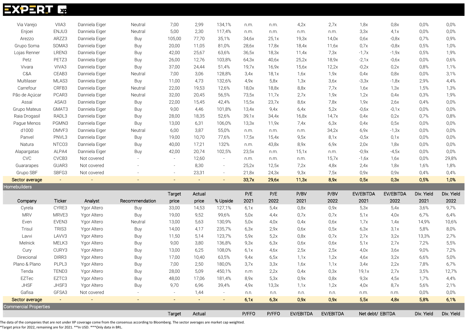| <b>EXPERIE</b> xp            |                |                |                |                |        |                          |       |       |           |           |                  |           |            |            |
|------------------------------|----------------|----------------|----------------|----------------|--------|--------------------------|-------|-------|-----------|-----------|------------------|-----------|------------|------------|
| Via Varejo                   | VIIA3          | Danniela Eiger | Neutral        | 7,00           | 2,99   | 134,1%                   | n.m.  | n.m.  | 4,2x      | 2,7x      | 1,8x             | 0,8x      | 0,0%       | 0,0%       |
| Enjoei                       | ENJU3          | Danniela Eiger | Neutral        | 5,00           | 2,30   | 117,4%                   | n.m.  | n.m.  | n.m.      | n.m.      | 3,3x             | 4,1x      | 0,0%       | 0,0%       |
| Arezzo                       | ARZZ3          | Danniela Eiger | Buy            | 105,00         | 77,70  | 35,1%                    | 34,6x | 25,1x | 19,3x     | 14,0x     | 0,6x             | $-0,8x$   | 0,7%       | 0,9%       |
| Grupo Soma                   | SOMA3          | Danniela Eiger | Buy            | 20,00          | 11,05  | 81,0%                    | 28,6x | 17,8x | 18,4x     | 11,6x     | 0.7x             | $-0,8x$   | 0,5%       | 1,0%       |
| Lojas Renner                 | LREN3          | Danniela Eiger | Buy            | 42,00          | 25,67  | 63,6%                    | 36,5x | 18,3x | 11,4x     | 7,3x      | $-1,7x$          | $-1,9x$   | 0,5%       | 1,9%       |
| Petz                         | PETZ3          | Danniela Eiger | Buy            | 26,00          | 12,76  | 103,8%                   | 64,3x | 40,6x | 25,2x     | 18,9x     | $-2,1x$          | $-0,6x$   | 0,0%       | 0,6%       |
| Vivara                       | VIVA3          | Danniela Eiger | Buy            | 37,00          | 24,44  | 51,4%                    | 19,7x | 16,9x | 15,6x     | 12,2x     | $-0,2x$          | 0,2x      | 0,8%       | 1,1%       |
| C&A                          | CEAB3          | Danniela Eiger | Neutral        | 7,00           | 3,06   | 128,8%                   | 3,4x  | 18,1x | 1,6x      | 1,9x      | 0,4x             | 0,8x      | 0,0%       | 3,1%       |
| Multilaser                   | MLAS3          | Danniela Eiger | Buy            | 11,00          | 4,73   | 132,6%                   | 4.9x  | 5,8x  | 1,3x      | 3,6x      | $-3,3x$          | $-1,8x$   | 2,9%       | 4,4%       |
| Carrefour                    | CRFB3          | Danniela Eiger | Neutral        | 22,00          | 19,53  | 12,6%                    | 18,0x | 18,8x | 8,8x      | 7,7x      | 1,6x             | 1,3x      | 1,5%       | 1,3%       |
| Pão de Açúcar                | PCAR3          | Danniela Eiger | Neutral        | 32,00          | 20,45  | 56,5%                    | 73,5x | 11,7x | 2,7x      | 1,9x      | 1,2x             | 0,4x      | 0,3%       | 1,9%       |
| Assaí                        | ASAI3          | Danniela Eiger | Buy            | 22,00          | 15,45  | 42,4%                    | 15,5x | 23,7x | 8,6x      | 7,8x      | 1,9x             | 2,6x      | 0,4%       | 0,0%       |
| Grupo Mateus                 | GMAT3          | Danniela Eiger | Buy            | 9,00           | 4,46   | 101,8%                   | 13,4x | 9,4x  | 6,4x      | 5,2x      | $-0,6x$          | $-0,1x$   | 0,0%       | 0,0%       |
| Raia Drogasil                | RADL3          | Danniela Eiger | Buy            | 28,00          | 18,35  | 52,6%                    | 39,1x | 34,4x | 16,8x     | 14,7x     | 0,4x             | 0,2x      | 0,7%       | 0,8%       |
| Pague Menos                  | PGMN3          | Danniela Eiger | Buy            | 13,00          | 6,31   | 106,0%                   | 13,3x | 11,9x | 7,4x      | 6,3x      | 0,4x             | 0,5x      | 0,0%       | 0,0%       |
| d1000                        | DMVF3          | Danniela Eiger | Neutral        | 6,00           | 3,87   | 55,0%                    | n.m.  | n.m.  | n.m.      | 34,2x     | 6,9x             | $-1,3x$   | 0,0%       | 0,0%       |
| Panvel                       | PNVL3          | Danniela Eiger | Buy            | 19,00          | 10,70  | 77,6%                    | 17,5x | 15,4x | 9,5x      | 8,1x      | $-0,5x$          | 0,1x      | 0,0%       | 0,0%       |
| Natura                       | NTCO3          | Danniela Eiger | Buy            | 40,00          | 17,21  | 132%                     | n.m.  | 43,8x | 8,9x      | 6,9x      | 2,0x             | 1,8x      | 0,0%       | 0,0%       |
| Alapargatas                  | ALPA4          | Danniela Eiger | Buy            | 42,00          | 20,74  | 102,5%                   | 23,5x | n.m.  | 15,1x     | n.m.      | $-0,9x$          | $-4,5x$   | 0,0%       | 0,0%       |
| CVC                          | CVCB3          | Not covered    |                | $\sim$         | 12,60  | $\sim$                   | n.m.  | n.m.  | n.m.      | 15,7x     | $-1,6x$          | 1,6x      | 0,0%       | 29,8%      |
| Guararapes                   | GUAR3          | Not covered    |                | $\sim$         | 8,30   | $\sim$                   | 25,2x | 12,5x | 7,2x      | 4,8x      | 2,4x             | 1,8x      | 1,6%       | 1,8%       |
| Grupo SBF                    | SBFG3          | Not covered    |                |                | 23,31  | $\overline{\phantom{a}}$ | 21,8x | 24,3x | 9,3x      | 7,5x      | 0,9x             | 0,9x      | 0,4%       | 0,4%       |
| Sector average               | $\sim$         | $\sim$         |                |                | $\sim$ | $\sim$                   | 33,7x | 29,6x | 11,3x     | 8,9x      | 0,5x             | 0,3x      | 0,5%       | 1,0%       |
| Homebuilders                 |                |                |                |                |        |                          |       |       |           |           |                  |           |            |            |
|                              |                |                |                | <b>Target</b>  | Actual |                          | P/E   | P/E   | P/BV      | P/BV      | EV/EBITDA        | EV/EBITDA | Div. Yield | Div. Yield |
| Company                      | <b>Ticker</b>  | Analyst        | Recommendation | price          | price  | % Upside                 | 2021  | 2022  | 2021      | 2022      | 2021             | 2022      | 2021       | 2022       |
| Cyrela                       | CYRE3          | Ygor Altero    | Buy            | 33,00          | 14,53  | 127,1%                   | 6,1x  | 5,4x  | 0,8x      | 0,9x      | 5,3x             | 5,4x      | 3,6%       | 9,7%       |
| <b>MRV</b>                   | MRVE3          | Ygor Altero    | Buy            | 19,00          | 9,52   | 99,6%                    | 5,0x  | 4.4x  | 0,7x      | 0.7x      | 5,1x             | 4,0x      | 6,7%       | 6,4%       |
| Even                         | EVEN3          | Ygor Altero    | Neutral        | 13,00          | 5,63   | 130,9%                   | 5,0x  | 4,0x  | 0,4x      | 0,6x      | 1,7x             | 1,4x      | 14,9%      | 10,6%      |
| Trisul                       | TRIS3          | Ygor Altero    | Buy            | 14,00          | 4,17   | 235,7%                   | 6,3x  | 2,9x  | 0,6x      | 0,5x      | 6,3x             | 3,1x      | 5,8%       | 8,0%       |
| Lavvi                        | LAVV3          | Ygor Altero    | Buy            | 11,50          | 5,14   | 123,7%                   | 5,9x  | 5,2x  | 0,8x      | 0,7x      | 2,7x             | 3,2x      | 13,3%      | 2,7%       |
| Melnick                      | MELK3          | Ygor Altero    | Buy            | 9,00           | 3,80   | 136,8%                   | 9,3x  | 6,3x  | 0,6x      | 0,6x      | 5,1x             | 2,7x      | 7,2%       | 5,5%       |
| Cury                         | CURY3          | Ygor Altero    | Buy            | 13,00          | 6,25   | 108,0%                   | 6,1x  | 4,6x  | 2,5x      | 2,5x      | 4,0x             | 3,6x      | 9,0%       | 7,2%       |
| Direcional                   | DIRR3          | Ygor Altero    | Buy            | 17,00          | 10,40  | 63,5%                    | 9,4x  | 6,5x  | 1,1x      | 1,2x      | 4,6x             | 3,2x      | 6,6%       | 5,0%       |
| Plano & Plano                | PLPL3          | Ygor Altero    | Buy            | 7,00           | 2,50   | 180,0%                   | 3,7x  | 3,3x  | 1,6x      | 1,1x      | 3,4x             | 2,2x      | 7,8%       | 6,7%       |
| Tenda                        | TEND3          | Ygor Altero    | Buy            | 28,00          | 5,09   | 450,1%                   | n.m   | 2,2x  | 0,4x      | 0,3x      | 19,1x            | 2,7x      | 3,5%       | 12,7%      |
| EZTec                        | EZTC3          | Ygor Altero    | Buy            | 48,00          | 17,06  | 181,4%                   | 8,9x  | 5,3x  | 0,9x      | 0,8x      | 9,3x             | 4,5x      | 1,7%       | 4,4%       |
| <b>JHSF</b>                  | JHSF3          | Ygor Altero    | Buy            | 9,70           | 6,96   | 39,4%                    | 4,9x  | 13,3x | 1,1x      | 1,2x      | 4,0x             | 8,7x      | 5,6%       | 2,1%       |
| Gafisa                       | GFSA3          | Not covered    |                | $\sim$         | 1,44   |                          | n.n.  | n.n.  | n.n.      | n.n.      | n.m.             | n.m.      | 0,0%       | $0,0\%$    |
| Sector average               | $\blacksquare$ | $\blacksquare$ | $\blacksquare$ | $\blacksquare$ | $\sim$ | $\blacksquare$           | 6,1x  | 6,3x  | 0,9x      | 0,9x      | 5,5x             | 4,8x      | 5,8%       | 6,1%       |
| <b>Commercial Properties</b> |                |                |                |                |        |                          |       |       |           |           |                  |           |            |            |
|                              |                |                |                | Target         | Actual |                          | P/FFO | P/FFO | EV/EBITDA | EV/EBITDA | Net debt/ EBITDA |           | Div. Yield | Div. Yield |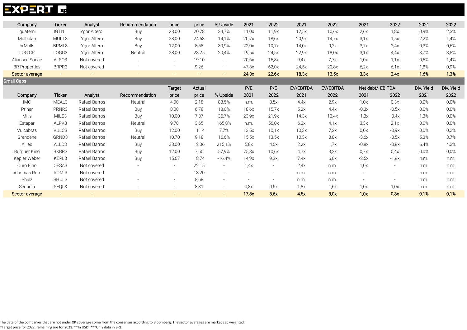### **EXPERT L<sub>IP</sub>**

| Company              | <b>Ticker</b>     | Analyst     | Recommendation | price | price  | % Upside | 2021  | 2022  | 2021  | 2022  | 2021 | 2022 | 2021 | 2022 |
|----------------------|-------------------|-------------|----------------|-------|--------|----------|-------|-------|-------|-------|------|------|------|------|
| Iquatemi             | IGTI11            | Ygor Altero | Buy            | 28,00 | 20,78  | 34,7%    | 11,0x | 11,9x | 12,5x | 10,6x | 2.6x | 1,8x | 0,9% | 2,3% |
| Multiplan            | MULT3             | Ygor Altero | Buy            | 28,00 | 24,53  | 14,1%    | 20.7x | 18,6x | 20,9x | 14,7x | 3.1x | .,5x | 2,2% | 1,4% |
| brMalls              | BRML3             | Ygor Altero | Buy            | 12,00 | 8,58   | 39,9%    | 22.0x | 10.7x | 14.0x | 9.2x  | 3,7x | 2.4x | 0,3% | 0,6% |
| LOG CP               | LOGG3             | Ygor Altero | Neutral        | 28,00 | 23,25  | 20,4%    | 19,5x | 24,5x | 22.9x | 18,0x | 3.1x | 4.4x | 3,7% | 3,5% |
| Aliansce Sonae       | ALSO <sub>3</sub> | Not covered |                |       | 19,10  |          | 20.6x | 15,8x | 9,4x  | 7.7x  | 1,0x | 1.1x | 0.5% | 1,4% |
| <b>BR Properties</b> | BRPR3             | Not covered |                |       | 9,26   |          | 47.3x | 62,0x | 24.5x | 20,8x | 6.2x | 6.1x | 1,8% | 0.9% |
| Sector average       | $\blacksquare$    | $\sim$      | $\sim$         |       | $\sim$ |          | 24,3x | 22,6x | 18,3x | 13,5x | 3,3x | 2.4x | 1,6% | 1,3% |
| <b>Small Caps</b>    |                   |             |                |       |        |          |       |       |       |       |      |      |      |      |

|                 |                |                |                | Target | Actual |          | P/E   | P/E                      | EV/EBITDA | EV/EBITDA | Net debt/ EBITDA         |                          | Div. Yield | Div. Yield |
|-----------------|----------------|----------------|----------------|--------|--------|----------|-------|--------------------------|-----------|-----------|--------------------------|--------------------------|------------|------------|
| Company         | <b>Ticker</b>  | Analyst        | Recommendation | price  | price  | % Upside | 2021  | 2022                     | 2021      | 2022      | 2021                     | 2022                     | 2021       | 2022       |
| <b>IMC</b>      | MEAL3          | Rafael Barros  | Neutral        | 4,00   | 2,18   | 83,5%    | n.m.  | 8.5x                     | 4.4x      | 2,9x      | 1,0x                     | 0,3x                     | 0.0%       | 0,0%       |
| Priner          | PRNR3          | Rafael Barros  | Buy            | 8,00   | 6,78   | 18,0%    | 18.6x | 15.7x                    | 5,2x      | 4.4x      | $-0,3x$                  | $-0,5x$                  | 0.0%       | 0.0%       |
| Mills           | MILS3          | Rafael Barros  | Buy            | 10,00  | 7,37   | 35,7%    | 23,9x | 21,9x                    | 14,3x     | 13,4x     | $-1,3x$                  | $-0,4x$                  | 1,3%       | 0,0%       |
| Estapar         | ALPK3          | Rafael Barros  | Neutral        | 9,70   | 3,65   | 165,8%   | n.m.  | 56,0x                    | 6,3x      | 4,1x      | 3,3x                     | 2,1x                     | 0,0%       | 0,0%       |
| Vulcabras       | VULC3          | Rafael Barros  | Buy            | 12,00  | 11,14  | 7,7%     | 13,5x | 10,1x                    | 10,3x     | 7.2x      | 0.0x                     | $-0,9x$                  | 0.0%       | 0,2%       |
| Grendene        | GRND3          | Rafael Barros  | Neutral        | 10,70  | 9,18   | 16,6%    | 15,5x | 13,5x                    | 10,3x     | 8,8x      | $-3,6x$                  | $-3,5x$                  | 5,3%       | 3,7%       |
| Allied          | ALLD3          | Rafael Barros  | Buy            | 38,00  | 12,06  | 215,1%   | 5.8x  | 4.6x                     | 2.2x      | 1.7x      | $-0,8x$                  | $-0,8x$                  | 6,4%       | 4,2%       |
| Burguer King    | BKBR3          | Rafael Barros  | Buy            | 12,00  | 7,60   | 57,9%    | 75,8x | 10,6x                    | 4.7x      | 3.2x      | 0.7x                     | 0.4x                     | 0.0%       | 0,0%       |
| Kepler Weber    | KEPL3          | Rafael Barros  | Buy            | 15,67  | 18,74  | $-16,4%$ | 14.9x | 9.3x                     | 7.4x      | 6.0x      | $-2,5x$                  | $-1,8x$                  | n.m.       | n.m.       |
| Ouro Fino       | OFSA3          | Not covered    |                | $\sim$ | 22,15  | $\sim$   | 1.4x  | $\sim$                   | 2.4x      | n.m.      | 1,0x                     | $\overline{\phantom{a}}$ | n.m.       | n.m.       |
| Indústrias Romi | ROMI3          | Not covered    |                | $\sim$ | 13,20  | $\sim$   |       | $\overline{\phantom{a}}$ | n.m.      | n.m.      | $\overline{\phantom{a}}$ |                          | n.m.       | n.m.       |
| Shulz           | SHUL3          | Not covered    |                | $\sim$ | 8,68   |          |       | $\overline{\phantom{a}}$ | n.m.      | n.m.      | $\overline{\phantom{a}}$ |                          | n.m.       | n.m.       |
| Sequoia         | SEQL3          | Not covered    |                | $\sim$ | 8,31   | $\sim$   | 0.8x  | 0.6x                     | 1,8x      | 1,6x      | 1,0x                     | 1,0x                     | n.m.       | n.m.       |
| Sector average  | $\blacksquare$ | $\blacksquare$ |                |        |        | $\sim$   | 17.8x | 8.6x                     | 4.5x      | 3.0x      | 1.0x                     | 0.3x                     | 0,1%       | 0.1%       |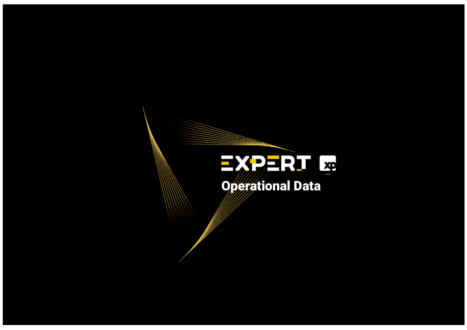#### - Target Actual Actual Actual Actual Actual Actual Actual Actual Actual Actual Actual Actual Actual Actual Actual Actual Actual Actual Actual Actual Actual Actual Actual Actual Actual Actual Actual Actual Actual Actual Act  $\mathbb{C}$  and  $\mathbb{C}$  and  $\mathbb{C}$  and  $\mathbb{C}$   $\mathbb{C}$   $\mathbb{C}$   $\mathbb{C}$   $\mathbb{C}$   $\mathbb{C}$   $\mathbb{C}$   $\mathbb{C}$   $\mathbb{C}$   $\mathbb{C}$   $\mathbb{C}$   $\mathbb{C}$   $\mathbb{C}$   $\mathbb{C}$   $\mathbb{C}$   $\mathbb{C}$   $\mathbb{C}$   $\mathbb{C}$   $\mathbb{C}$   $\mathbb{C}$   $\$  $\text{min}$ **Jassim Superational Data**

Santander Brasil SANB11 Vitor Pini Sell 36,00\* 34,71 3,7%

Sector average - - - - - -

BR partners BRBI11 Vitor Pini Buy 29,00\* 18,60 55,9%

 $\mathcal{A}(\mathcal{A})$  $\mathcal{M}(\mathcal{M})$ 

Jalles Machado JALL3 Leonardo Alencar Buy 14,00 10,37 35,0%

Sao Martinho SMTO3Leonardo Alencar Buy 38,00 40,75 -6,7%

 $\overline{A}$ 

Boa Safra Sementes SOJA3Leonardo Alencar Buy 18,00 14,72 22,3%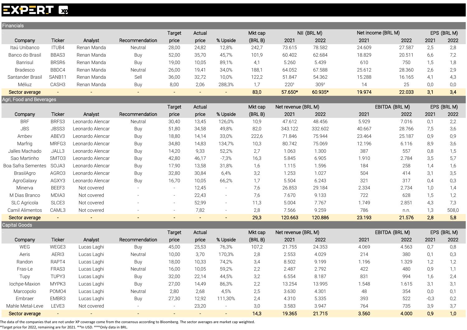# EXPERT Exp

| Financials               |               |                                          |                |                          |                     |                              |         |                     |             |                    |                |        |             |
|--------------------------|---------------|------------------------------------------|----------------|--------------------------|---------------------|------------------------------|---------|---------------------|-------------|--------------------|----------------|--------|-------------|
|                          |               |                                          |                | <b>Target</b>            | Actual              |                              | Mkt cap |                     | NII (BRL M) | Net income (BRL M) |                |        | EPS (BRL M) |
| Company                  | <b>Ticker</b> | Analyst                                  | Recommendation | price                    | price               | % Upside                     | (BRLB)  | 2021                | 2022        | 2021               | 2022           | 2021   | 2022        |
| Itaú Unibanco            | ITUB4         | Renan Manda                              | Neutral        | 28,00                    | 24,82               | 12,8%                        | 242,7   | 73.615              | 78.582      | 24.609             | 27.587         | 2,5    | 2,8         |
| Banco do Brasil          | BBAS3         | Renan Manda                              | Buy            | 52,00                    | 35,70               | 45,7%                        | 101,9   | 60.402              | 62.684      | 18.829             | 20.511         | 6,6    | 7,2         |
| Banrisul                 | BRSR6         | Renan Manda                              | Buy            | 19,00                    | 10,05               | 89,1%                        | 4,1     | 5.260               | 5.439       | 610                | 750            | 1,5    | 1,8         |
| Bradesco                 | BBDC4         | Renan Manda                              | Neutral        | 26,00                    | 19,41               | 34,0%                        | 188,1   | 64.052              | 67.588      | 25.612             | 28.360         | 2,6    | 2,9         |
| Santander Brasil         | SANB11        | Renan Manda                              | Sell           | 36,00                    | 32,72               | 10,0%                        | 122,2   | 51.847              | 54.362      | 15.288             | 16.165         | 4,1    | 4,3         |
| Méliuz                   | CASH3         | Renan Manda                              | Buy            | 8,00                     | 2,06                | 288,3%                       | 1,7     | 220 <sup>1</sup>    | 3091        | 14                 | 25             | 0,0    | 0,0         |
| Sector average           | $\sim$        |                                          | $\sim$         | $\sim$                   | $\blacksquare$      | $\sim$                       | 83,0    | 57.650*             | 60.935*     | 19.974             | 22.033         | 3,1    | 3,4         |
| Agri, Food and Beverages |               |                                          |                |                          |                     |                              |         |                     |             |                    |                |        |             |
|                          |               |                                          |                | Target                   | Actual              |                              | Mkt cap | Net revenue (BRL M) |             |                    | EBITDA (BRL M) |        | EPS (BRL M) |
| Company                  | <b>Ticker</b> | Analyst                                  | Recommendation | price                    | price               | % Upside                     | (BRLB)  | 2021                | 2022        | 2021               | 2022           | 2021   | 2022        |
| <b>BRF</b>               | BRFS3         | Leonardo Alencar                         | Neutral        | 30,40                    | 13,45               | 126,0%                       | 10,9    | 47.612              | 48.456      | 5.929              | 7.016          | 0,1    | 2,2         |
| JBS                      | JBSS3         | Leonardo Alencar                         | Buy            | 51,80                    | 34,58               | 49,8%                        | 82,0    | 343.122             | 332.602     | 40.667             | 28.766         | 7,5    | 3,6         |
| Ambev                    | ABEV3         | Leonardo Alencar                         | Buy            | 18,80                    | 14,14               | 33,0%                        | 222,6   | 71.846              | 75.944      | 23.464             | 25.187         | 0,9    | 0,9         |
| Marfrig                  | MRFG3         | Leonardo Alencar                         | Buy            | 34,80                    | 14,83               | 134,7%                       | 10,3    | 80.742              | 75.069      | 12.196             | 6.116          | 8,9    | 3,6         |
| Jalles Machado           | JALL3         | Leonardo Alencar                         | Buy            | 14,20                    | 9,33                | 52,2%                        | 2,7     | 1.063               | 1.300       | 387                | 557            | 0,8    | 1,5         |
| Sao Martinho             | SMT03         | Leonardo Alencar                         | Buy            | 42,80                    | 46,17               | $-7,3%$                      | 16,3    | 5.845               | 6.905       | 1.910              | 2.784          | 3,5    | 5,7         |
| Boa Safra Sementes       | SOJA3         | Leonardo Alencar                         | Buy            | 17,90                    | 13,58               | 31,8%                        | 1,6     | 1.115               | 1.596       | 184                | 258            | 1,4    | 1,6         |
| BrasilAgro               | AGRO3         | Leonardo Alencar                         | Buy            | 32,80                    | 30,84               | 6,4%                         | 3,2     | 1.253               | 1.027       | 504                | 414            | 3,1    | 3,5         |
| AgroGalaxy               | AGXY3         | Leonardo Alencar                         | <b>Buy</b>     | 16,70                    | 10,05               | 66,2%                        | 1,7     | 5.504               | 6.243       | 321                | 317            | 0,4    | 0,3         |
| Minerva                  | BEEF3         | Not covered                              | $\equiv$       | $\sim$                   | 12,45               | $\overline{\phantom{a}}$     | 7,6     | 26.853              | 29.184      | 2.334              | 2.734          | 1,0    | 1,4         |
| M Dias Branco            | MDIA3         | Not covered                              |                | $\overline{\phantom{a}}$ | 22,43               | $\overline{\phantom{a}}$     | 7,6     | 7.670               | 9.133       | 722                | 628            | 1,5    | 1,2         |
| <b>SLC Agricola</b>      | SLCE3         | Not covered                              |                |                          | 52,99               | $\overline{\phantom{a}}$     | 11,3    | 5.004               | 7.767       | 1.749              | 2.851          | 4,3    | 7,3         |
| Camil Alimentos          | CAML3         | Not covered                              |                |                          | 7,82                | $\qquad \qquad \blacksquare$ | 2,8     | 7.566               | 9.259       | 786                | n.n.           | 1,3    | 508,0       |
| Sector average           | $\sim$        | $\sim$                                   | $\blacksquare$ | $\equiv$                 | $\sim$              | $\equiv$                     | 29,3    | 120.663             | 120.886     | 23.193             | 21.576         | 2,8    | 5,8         |
| Capital Goods            |               |                                          |                |                          |                     |                              |         |                     |             |                    |                |        |             |
|                          |               |                                          |                | Target                   | Actual              |                              | Mkt cap | Net revenue (BRL M) |             |                    | EBITDA (BRL M) |        | EPS (BRL M) |
| Company                  | <b>Ticker</b> | Analyst                                  | Recommendation | price                    | price               | % Upside                     | (BRLB)  | 2021                | 2022        | 2021               | 2022           | 2021   | 2022        |
| WEG                      | WEGE3         | Lucas Laghi                              | Buy            | 45,00                    | 25,53               | 76,3%                        | 107,2   | 21.755              | 24.353      | 4.069              | 4.563          | 0,7    | 0,8         |
| Aeris                    | AERI3         | Lucas Laghi                              | Neutral        | 10,00                    | 3,70                | 170,3%                       | 2,8     | 2.553               | 4.029       | 214                | 380            | 0,1    | 0,3         |
| Randon                   | RAPT4         | Lucas Laghi                              | Buy            | 18,00                    | 10,33               | 74,2%                        | 3,4     | 8.502               | 9.199       | 1.196              | 1.329          | 1,2    | 1,2         |
| Fras-Le                  | FRAS3         | Lucas Laghi                              | Neutral        | 16,00                    | 10,05               | 59,2%                        | 2,2     | 2.487               | 2.792       | 422                | 480            | 0,9    | 1,1         |
| Tupy                     | TUPY3         | Lucas Laghi                              | Buy            | 32,00                    | 22,14               | 44,5%                        | 3,2     | 6.554               | 8.187       | 831                | 994            | 1,6    | 2,4         |
| lochpe-Maxion            | MYPK3         | Lucas Laghi                              | Buy            | 27,00                    | 14,49               | 86,3%                        | 2,2     | 13.254              | 13.995      | 1.548              | 1.615          | 3,1    | 3,1         |
| Marcopolo                | POMO4         | Lucas Laghi                              | Neutral        | 2,80                     | 2,68                | 4,5%                         | 2,5     | 3.630               | 4.301       | 48                 | 354            | 0,0    | 0,1         |
| Embraer                  | EMBR3         | Lucas Laghi                              | Buy            | 27,30                    | 12,92               | 111,30%                      | 2,4     | 4.310               | 5.335       | 393                | 522            | $-0,3$ | 0,2         |
| Mahle Metal-Leve         | LEVE3         | Not covered                              |                | $\sim$                   | 23,20               | $\sim$                       | 3,0     | 3.583               | 3.947       | 764                | 735            | 3,9    | 3,7         |
| Sector average           | $\sim$        | $\frac{1}{2} \left( \frac{1}{2} \right)$ | $\equiv$       | $\frac{1}{2}$            | $\omega_{\rm{eff}}$ | $\sim$ .                     | 14,3    | 19.365              | 21.715      | 3.560              | 4.000          | 0,9    | 1,0         |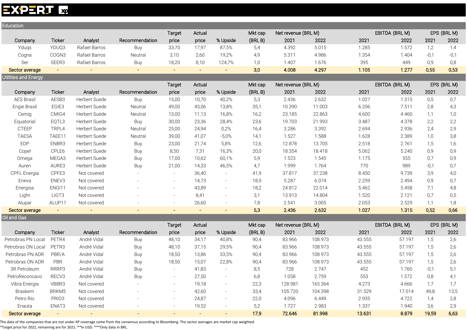#### **EXPERT &**

| Education                   |                |               |                          |                |        |                          |         |                     |         |        |                |        |             |
|-----------------------------|----------------|---------------|--------------------------|----------------|--------|--------------------------|---------|---------------------|---------|--------|----------------|--------|-------------|
|                             |                |               |                          | <b>Target</b>  | Actual |                          | Mkt cap | Net revenue (BRL M) |         |        | EBITDA (BRL M) |        | EPS (BRL M) |
| Company                     | <b>Ticker</b>  | Analyst       | Recommendation           | price          | price  | % Upside                 | (BRLB)  | 2021                | 2022    | 2021   | 2022           | 2021   | 2022        |
| Ydugs                       | YDUQ3          | Rafael Barros | Buy                      | 33,70          | 17,97  | 87,5%                    | 5,4     | 4.392               | 5.015   | 1.285  | 1.572          | 1,2    | 1,4         |
| Cogna                       | COGN3          | Rafael Barros | Neutral                  | 3,10           | 2,60   | 19,2%                    | 4,9     | 5.311               | 4.986   | 1.354  | 1.404          | $-0,1$ | $-0,1$      |
| Ser                         | SEER3          | Rafael Barros | Buy                      | 18,20          | 8,10   | 124,7%                   | 1,0     | 1.407               | 1.676   | 395    | 449            | 0,9    | 0,8         |
| Sector average              | $\blacksquare$ |               | $\blacksquare$           | $\blacksquare$ | $\sim$ | $\blacksquare$           | 3,0     | 4.008               | 4.297   | 1.105  | 1.277          | 0,55   | 0,53        |
| <b>Utilities and Energy</b> |                |               |                          |                |        |                          |         |                     |         |        |                |        |             |
|                             |                |               |                          | <b>Target</b>  | Actual |                          | Mkt cap | Net revenue (BRL M) |         |        | EBITDA (BRL M) |        | EPS (BRL M) |
| Company                     | <b>Ticker</b>  | Analyst       | Recommendation           | price          | price  | % Upside                 | (BRLB)  | 2021                | 2022    | 2021   | 2022           | 2021   | 2022        |
| <b>AES Brasil</b>           | AESB3          | Herbert Suede | Buy                      | 15,00          | 10,70  | 40,2%                    | 5,3     | 2.436               | 2.632   | 1.027  | 1.315          | 0,5    | 0,7         |
| Engie Brasil                | EGIE3          | Herbert Suede | Neutral                  | 49,00          | 43,06  | 13,8%                    | 35,1    | 10.390              | 11.003  | 6.206  | 7.511          | 2,8    | 4,3         |
| Cemig                       | CMIG4          | Herbert Suede | Neutral                  | 13,00          | 11,13  | 16,8%                    | 16,2    | 23.185              | 22.863  | 4.600  | 4.460          | 1,1    | 1,0         |
| Equatorial                  | EQTL3          | Herbert Suede | <b>Buy</b>               | 30,00          | 23,36  | 28,4%                    | 23,6    | 19.703              | 21.993  | 3.487  | 4.378          | 2,2    | 2,2         |
| CTEEP                       | TRPL4          | Herbert Suede | Neutral                  | 25,00          | 24,94  | 0,2%                     | 16,4    | 3.286               | 3.392   | 2.694  | 2.936          | 2,4    | 2,9         |
| <b>TAESA</b>                | TAEE11         | Herbert Suede | Neutral                  | 39,00          | 41,07  | $-5,0%$                  | 14,1    | 1.527               | 1.588   | 1.628  | 2.389          | 1,0    | 3,8         |
| <b>EDP</b>                  | ENBR3          | Herbert Suede | Buy                      | 23,00          | 21,74  | 5,8%                     | 12,6    | 12.878              | 13.705  | 2.518  | 2.761          | 1,5    | 1,6         |
| Copel                       | CPLE6          | Herbert Suede | Buy                      | 8,50           | 7,31   | 16,3%                    | 20,0    | 18.354              | 18.418  | 5.062  | 5.240          | 0,9    | 0,9         |
| Omega                       | MEGA3          | Herbert Suede | Buy                      | 17,00          | 10,62  | 60,1%                    | 5,9     | 1.523               | 1.545   | 1.175  | 555            | 0,7    | 0,9         |
| Auren                       | AURE3          | Herbert Suede | Buy                      | 21,00          | 14,33  | 46,5%                    | 4,7     | 1.999               | 1.764   | 770    | 989            | $-0,1$ | 0,7         |
| CPFL Energia                | CPFE3          | Not covered   |                          | $\sim$         | 36,40  | $\overline{\phantom{a}}$ | 41,9    | 37.817              | 37.238  | 8.450  | 9.739          | 3,9    | 4,0         |
| Eneva                       | ENEV3          | Not covered   |                          | $\sim$         | 14,73  | $\overline{\phantom{a}}$ | 18,9    | 5.287               | 6.074   | 2.259  | 2.494          | 0,9    | 0,7         |
| Energisa                    | ENGI11         | Not covered   |                          |                | 43,89  | $\sim$                   | 18,2    | 24.812              | 22.014  | 5.462  | 5.458          | 7,1    | 4,8         |
| Light                       | LIGT3          | Not covered   |                          |                | 8,41   | $\sim$                   | 3,1     | 13.913              | 14.804  | 1.520  | 2.121          | 0,7    | 0,5         |
| Alupar                      | ALUP11         | Not covered   |                          |                | 26,60  | $\overline{\phantom{a}}$ | 7,8     | 2.541               | 3.005   | 2.053  | 2.529          | 1,1    | 1,8         |
| Sector average              | $\blacksquare$ |               | $\overline{\phantom{a}}$ |                | $\sim$ | L.                       | 5,3     | 2.436               | 2.632   | 1.027  | 1.315          | 0,52   | 0,66        |
| Oil and Gas                 |                |               |                          |                |        |                          |         |                     |         |        |                |        |             |
|                             |                |               |                          | <b>Target</b>  | Actual |                          | Mkt cap | Net revenue (BRL M) |         |        | EBITDA (BRL M) |        | EPS (BRL M) |
| Company                     | <b>Ticker</b>  | Analyst       | Recommendation           | price          | price  | % Upside                 | (BRLB)  | 2021                | 2022    | 2021   | 2022           | 2021   | 2022        |
| Petrobras PN Local          | PETR4          | André Vidal   | Buy                      | 48,10          | 34,17  | 40,8%                    | 90,4    | 83.966              | 108.973 | 43.555 | 57.197         | 1,5    | 2,6         |
| Petrobras ON Local          | PETR3          | André Vidal   | Buy                      | 48,10          | 37,15  | 29,5%                    | 90,4    | 83.966              | 108.973 | 43.555 | 57.197         | 1,5    | 2,6         |
| Petrobras PN ADR            | PBR/A          | André Vidal   | Buy                      | 18,50          | 13,86  | 33,5%                    | 90,4    | 83.966              | 108.973 | 43.555 | 57.197         | 1,5    | 2,6         |

Petrobras ON ADR PBR André Vidal Buy 18,50 15,07 22,8% 90,4 83.966 108.973 43.555 57.197 1,5 2,6 3R Petroleum RRRP3 André Vidal Buy - 41,83 - 8,5 728 2.747 - 452 - 1.760 -0,1 5,1 PetroReconcavo RECV3 André Vidal Buy - 27,50 - 6,8 1.058 2.759 553 1.572 0,8 4,1 Vibra Energia VBBR3 Not covered - - 19,18 - 22,3 128.981 165.364 4.273 4.666 1,7 1,7 Braskem BRKM5 Not covered - - 42,60 - 33,4 105.720 104.398 31.529 17.014 49,8 13,5 Petro Rio PRIO3 Not covered - - 24,87 - 22,0 4.096 6.449 2.935 4.722 1,4 2,8 Enauta ENAT3 Not covered - - 19,52 - 5,2 1.727 2.983 1.337 1.940 3,6 2,9

Sector average - - - - - - - - - - - - - - - - 17,9 72.646 81.998 13.631 8.879 19,59 6,63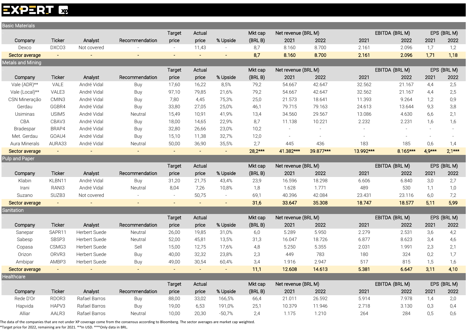# **EXPERT E**

| <b>Basic Materials</b> |                |                                |                |                |               |                          |             |                     |                 |              |                |            |             |
|------------------------|----------------|--------------------------------|----------------|----------------|---------------|--------------------------|-------------|---------------------|-----------------|--------------|----------------|------------|-------------|
|                        |                |                                |                | Target         | Actual        |                          | Mkt cap     | Net revenue (BRL M) |                 |              | EBITDA (BRL M) |            | EPS (BRL M) |
| Company                | Ticker         | Analyst                        | Recommendation | price          | price         | % Upside                 | (BRLB)      | 2021                | 2022            | 2021         | 2022           | 2021       | 2022        |
| Dexco                  | DXCO3          | Not covered                    |                |                | 11,43         |                          | 8,7         | 8.160               | 8.700           | 2.161        | 2.096          | 1,7        | 1,2         |
| Sector average         | $\sim$         |                                |                | $\sim$         | $\sim$        | $\overline{\phantom{a}}$ | 8,7         | 8.160               | 8.700           | 2.161        | 2.096          | 1,71       | 1,18        |
| Metals and Mining      |                |                                |                |                |               |                          |             |                     |                 |              |                |            |             |
|                        |                |                                |                | Target         | Actual        |                          | Mkt cap     | Net revenue (BRL M) |                 |              | EBITDA (BRL M) |            | EPS (BRL M) |
| Company                | Ticker         | Analyst                        | Recommendation | price          | price         | % Upside                 | (BRLB)      | 2021                | 2022            | 2021         | 2022           | 2021       | 2022        |
| Vale (ADR)**           | VALE           | André Vidal                    | Buy            | 17,60          | 16,22         | 8,5%                     | 79,2        | 54.667              | 42.647          | 32.562       | 21.167         | 4,4        | 2,5         |
| Vale (Local)**         | VALE3          | André Vidal                    | Buy            | 97,10          | 79,85         | 21,6%                    | 79,2        | 54.667              | 42.647          | 32.562       | 21.167         | 4,4        | 2,5         |
| CSN Mineração          | CMIN3          | André Vidal                    | Buy            | 7,80           | 4,45          | 75,3%                    | 25,0        | 21.573              | 18.641          | 11.393       | 9.264          | 1,2        | 0,9         |
| Gerdau                 | GGBR4          | André Vidal                    | Buy            | 33,80          | 27,05         | 25,0%                    | 46,1        | 79.715              | 79.163          | 24.613       | 13.644         | 9,3        | 3,8         |
| Usiminas               | USIM5          | André Vidal                    | Neutral        | 15,49          | 10,91         | 41,9%                    | 13,4        | 34.560              | 29.567          | 13.086       | 4.630          | 6,6        | 2,1         |
| CBA                    | CBAV3          | André Vidal                    | Buy            | 18,00          | 14,65         | 22,9%                    | 8,7         | 11.138              | 10.221          | 2.232        | 2.231          | 1,6        | 1,6         |
| Bradespar              | BRAP4          | André Vidal                    | Buy            | 32,80          | 26,66         | 23,0%                    | 10,2        |                     | $\equiv$        |              |                |            |             |
| Met. Gerdau            | GOAU4          | André Vidal                    | Buy            | 15,10          | 11,38         | 32,7%                    | 12,0        |                     |                 |              |                |            |             |
| Aura Minerals          | AURA33         | André Vidal                    | Neutral        | 50,00          | 36,90         | 35,5%                    | 2,7         | 445                 | 436             | 183          | 185            | 0,6        | 1,4         |
| Sector average         | $\sim$         | $\sim$                         | $\sim$         | $\sim$         | $\sim$        | $\omega_{\rm{eff}}$      | $28,2***$   | 41.382***           | 39.877***       | 13.992***    | 8.165***       | $4.9***$   | $2,1***$    |
| <b>Pulp and Paper</b>  |                |                                |                |                |               |                          |             |                     |                 |              |                |            |             |
|                        |                |                                |                | Target         | Actual        |                          | Mkt cap     | Net revenue (BRL M) |                 |              | EBITDA (BRL M) |            | EPS (BRL M) |
| Company                | Ticker         | Analyst                        | Recommendation | price          | price         | % Upside                 | (BRLB)      | 2021                | 2022            | 2021         | 2022           | 2021       | 2022        |
| Klabin                 | KLBN11         | André Vidal                    | Buy            | 31,20          | 21,75         | 43,4%                    | 23,9        | 16.596              | 18.298          | 6.606        | 6.840          | 3,0        | 2,7         |
| Irani                  | RANI3          | André Vidal                    | Neutral        | 8,04           | 7,26          | 10,8%                    | 1,8         | 1.628               | 1.771           | 489          | 530            | 1,1        | 1,0         |
| Suzano                 | SUZB3          | Not covered                    |                |                | 50,75         | $\sim$                   | 69,1        | 40.396              | 42.084          | 23.431       | 23.116         | 6,0        | 7,2         |
| Sector average         | $\sim$ $^{-1}$ | $\sim$                         | $\sim$         |                | $\sim$        | $\sim$                   | 31,6        | 33.647              | 35.308          | 18.747       | 18.577         | 5,11       | 5,99        |
| Sanitation             |                |                                |                |                |               |                          |             |                     |                 |              |                |            |             |
|                        |                |                                |                | Target         | Actual        |                          | Mkt cap     | Net revenue (BRL M) |                 |              | EBITDA (BRL M) |            | EPS (BRL M) |
| Company                | <b>Ticker</b>  | Analyst                        | Recommendation | price          | price         | % Upside                 | (BRLB)      | 2021                | 2022            | 2021         | 2022           | 2021       | 2022        |
| Sanepar                | SAPR11         | Herbert Suede                  | Neutral        | 26,00          | 19,85         | 31,0%                    | 6,0         | 5.289               | 5.950           | 2.279        | 2.531          | 3,6        | 4,2         |
| Sabesp                 | SBSP3          | Herbert Suede                  | Neutral        | 52,00          | 45,81         | 13,5%                    | 31,3        | 16.047              | 18.726          | 6.877        | 8.623          | 3,4        | 4,6         |
| Copasa                 | CSMG3          | Herbert Suede                  | Sell           | 15,00          | 12,75         | 17,6%                    | 4,8         | 5.250               | 5.355           | 2.031        | 1.991          | 2,3        | 2,1         |
| Orizon                 | ORVR3          | Herbert Suede                  | Buy            | 40,00          | 32,32         | 23,8%                    | 2,3         | 449                 | 783             | 180          | 324            | 0,2        | 1,7         |
| Ambipar                | AMBP3          | Herbert Suede                  | Buy            | 49,00          | 30,54         | 60,4%                    | 3,4         | 1.916               | 2.947           | 517          | 815            | 1,5        | 1,6         |
| Sector average         |                |                                |                |                |               | $\blacksquare$           | 11,1        | 12.608              | 14.613          | 5.381        | 6.647          | 3,11       | 4,10        |
| <b>Healthcare</b>      |                |                                |                |                |               |                          |             |                     |                 |              |                |            |             |
|                        |                |                                |                | Target         | Actual        |                          | Mkt cap     | Net revenue (BRL M) |                 |              | EBITDA (BRL M) |            | EPS (BRL M) |
|                        |                |                                |                |                |               |                          |             |                     |                 |              |                |            |             |
| Company                | Ticker         | Analyst                        | Recommendation | price          | price         | % Upside                 | (BRLB)      | 2021                | 2022            | 2021         | 2022           | 2021       | 2022        |
| Rede D'Or              | RDOR3          | Rafael Barros                  | Buy            | 88,00          | 33,02         | 166,5%                   | 66,4        | 21.011              | 26.592          | 5.914        | 7.978          | 1,4        | 2,0         |
| Hapvida<br>Alliar      | HAPV3<br>AALR3 | Rafael Barros<br>Rafael Barros | Buy            | 19,00<br>10,00 | 6,53<br>20,30 | 191,0%<br>$-50,7%$       | 25,1<br>2,4 | 10.379<br>1.175     | 11.946<br>1.210 | 2.718<br>264 | 3.130<br>284   | 0,3<br>0,5 | 0,4<br>0,6  |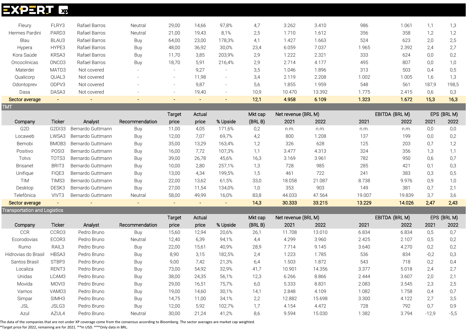# **EXPERT E**

| Fleury         | FLRY3             | Rafael Barros | Neutral                  | 29,00                    | 14,66  | 97,8%                    | 4,7  | 3.262  | 3.410  | 986   | 1.061 |       | 1,3   |
|----------------|-------------------|---------------|--------------------------|--------------------------|--------|--------------------------|------|--------|--------|-------|-------|-------|-------|
| Hermes Pardini | PARD3             | Rafael Barros | Neutral                  | 21,00                    | 19,43  | 8.1%                     | 2,5  | 1.710  | 1.612  | 356   | 358   | 1,2   | 1,2   |
| Blau           | BLAU3             | Rafael Barros | Buy                      | 64,00                    | 23,00  | 178,3%                   | 4,1  | 1.427  | 1.663  | 524   | 623   | 2,0   | 2,5   |
| Hypera         | HYPE3             | Rafael Barros | Buy                      | 48,00                    | 36,92  | 30,0%                    | 23,4 | 6.059  | 7.037  | 1.965 | 2.392 | 2,4   | 2,7   |
| Kora Saúde     | KRSA3             | Rafael Barros | Buy                      | 11,70                    | 3,85   | 203,9%                   | 2,9  | 1.222  | 2.321  | 333   | 624   | 0,0   | 0,2   |
| Oncoclínicas   | ONCO <sub>3</sub> | Rafael Barros | Buy                      | 18,70                    | 5,91   | 216.4%                   | 2,9  | 2.714  | 4.177  | 495   | 807   | 0,0   | 1,0   |
| Materdei       | MATD3             | Not covered   | $\overline{\phantom{a}}$ | $\overline{\phantom{0}}$ | 9,27   | $\overline{\phantom{0}}$ | 3,5  | 1.046  | 1.896  | 313   | 503   | 0,4   | 0,5   |
| Qualicorp      | QUAL3             | Not covered   |                          | $\overline{\phantom{0}}$ | 11,98  | $\overline{\phantom{0}}$ | 3,4  | 2.119  | 2.208  | 1.002 | 1.005 | 1,6   | 1,3   |
| Odontoprev     | ODPV3             | Not covered   | $\overline{\phantom{a}}$ | $\overline{\phantom{0}}$ | 9,87   | $\overline{\phantom{0}}$ | 5,6  | 1.855  | 1.959  | 548   | 561   | 187,9 | 198,5 |
| Dasa           | DASA3             | Not covered   | $\overline{\phantom{a}}$ | $\overline{\phantom{0}}$ | 19,40  | $\overline{\phantom{0}}$ | 10,9 | 10.470 | 13.392 | i.775 | 2.415 | 0,6   | 0,3   |
| Sector average | $\sim$            | $\,$ $\,$     | $\sim$                   | $\overline{\phantom{a}}$ | $\sim$ | $\overline{\phantom{a}}$ | 12,1 | 4.958  | 6.109  | 1.323 | 1.672 | 15,3  | 16,3  |
| <b>TMT</b>     |                   |               |                          |                          |        |                          |      |        |        |       |       |       |       |

|                  |                   |                   |                | Target | Actual |          | Mkt cap | Net revenue (BRL M) |        |        | EBITDA (BRL M) |      | EPS (BRL M) |
|------------------|-------------------|-------------------|----------------|--------|--------|----------|---------|---------------------|--------|--------|----------------|------|-------------|
| Company          | Ticker            | Analyst           | Recommendation | price  | price  | % Upside | (BRLB)  | 2021                | 2022   | 2021   | 2022           | 2021 | 2022        |
| G <sub>2</sub> D | G2DI33            | Bernardo Guttmann | Buy            | 11,00  | 4,05   | 171,6%   | 0,2     | n.m.                | n.m.   | n.m.   | n.m.           | 0,0  | 0,0         |
| Locaweb          | LWSA3             | Bernardo Guttmann | Buy            | 12,00  | 7.07   | 69,7%    | 4,2     | 800                 | 1.208  | 137    | 199            | 0,0  | 0,2         |
| Bemobi           | BMOB3             | Bernardo Guttmann | Buy            | 35,00  | 13,29  | 163,4%   | 1,2     | 326                 | 628    | 125    | 203            | 0,7  | 1,2         |
| Positivo         | POSI <sub>3</sub> | Bernardo Guttmann | Buy            | 16,00  | 7,72   | 107,3%   | 1,1     | 3.477               | 4.313  | 324    | 356            | 1,3  | 1,1         |
| Totvs            | TOTS3             | Bernardo Guttmann | Buy            | 39,00  | 26,78  | 45,6%    | 16,3    | 3.169               | 3.961  | 782    | 950            | 0,6  | 0,7         |
| <b>Brisanet</b>  | BRIT <sub>3</sub> | Bernardo Guttmann | Buy            | 10,00  | 2,80   | 257,1%   | 1,3     | 728                 | 985    | 285    | 421            | 0,1  | 0,3         |
| Unifique         | FIQE3             | Bernardo Guttmann | Buy            | 13,00  | 4,34   | 199,5%   | 1,5     | 461                 | 722    | 241    | 383            | 0,3  | 0,5         |
| <b>TIM</b>       | TIMS3             | Bernardo Guttmann | Buy            | 22,00  | 13,62  | 61,5%    | 33,0    | 18.058              | 21.087 | 8.738  | 9.976          | 0,9  | 1,0         |
| Desktop          | DESK3             | Bernardo Guttmann | Buy            | 27,00  | 11,54  | 134,0%   | 1,0     | 353                 | 903    | 149    | 381            | 0,7  | 2,1         |
| Telefônica       | VIVT3             | Bernardo Guttmann | Neutral        | 58,00  | 49,99  | 16,0%    | 83,8    | 44.033              | 47.564 | 19.007 | 19.839         | 3,7  | 3,6         |
| Sector average   |                   | $\sim$            | $\sim$         | -      | $\sim$ | $\sim$   | 14,3    | 30.333              | 33.215 | 13.229 | 14.026         | 2,47 | 2,43        |

Transportation and Logistics

|                     |                   |             |                | Target | Actual |          | Mkt cap | Net revenue (BRL M) |        |       | EBITDA (BRL M) |         | EPS (BRL M) |
|---------------------|-------------------|-------------|----------------|--------|--------|----------|---------|---------------------|--------|-------|----------------|---------|-------------|
| Company             | <b>Ticker</b>     | Analyst     | Recommendation | price  | price  | % Upside | (BRLB)  | 2021                | 2022   | 2021  | 2022           | 2021    | 2022        |
| <b>CCR</b>          | CCRO3             | Pedro Bruno | Buy            | 15,60  | 12,94  | 20,6%    | 26,1    | 11.708              | 13.010 | 6.834 | 6.834          | 0,5     | 0,7         |
| Ecorodovias         | ECOR3             | Pedro Bruno | Neutral        | 12,40  | 6,39   | 94,1%    | 4,4     | 4.299               | 3.960  | 2.425 | 2.107          | 0,5     | 0,2         |
| Rumo                | RAIL3             | Pedro Bruno | Buy            | 22,00  | 15,61  | 40,9%    | 28,9    | 7.714               | 9.145  | 3.640 | 4.270          | 0,2     | 0,2         |
| Hidrovias do Brasil | HBSA3             | Pedro Bruno | Buy            | 8,90   | 3,15   | 182,5%   | 2,4     | 1.223               | 1.785  | 536   | 834            | $-0.2$  | 0,3         |
| Santos Brasil       | STBP3             | Pedro Bruno | Buy            | 9,00   | 7,42   | 21,3%    | 6,4     | 1.503               | 1.872  | 543   | 718            | 0,2     | 0,4         |
| Localiza            | RENT <sub>3</sub> | Pedro Bruno | Buy            | 73,00  | 54,92  | 32,9%    | 41,7    | 10.901              | 14.356 | 3.377 | 5.018          | 2,4     | 2,7         |
| Unidas              | LCAM3             | Pedro Bruno | Buy            | 38,00  | 24,35  | 56,1%    | 12,3    | 6.266               | 8.866  | 2.444 | 3.607          | 2,0     | 2,1         |
| Movida              | MOVI3             | Pedro Bruno | Buy            | 29,00  | 16,51  | 75,7%    | 6,0     | 5.333               | 8.831  | 2.083 | 3.545          | 2,3     | 2,5         |
| Vamos               | VAMO3             | Pedro Bruno | Buy            | 19,00  | 14,60  | 30,1%    | 14,1    | 2.848               | 4.109  | 1.082 | 1.758          | 0,4     | 0,7         |
| Simpar              | SIMH <sub>3</sub> | Pedro Bruno | Buy            | 14,75  | 11,00  | 34,1%    | 2,2     | 12.882              | 15.698 | 3.300 | 4.122          | 2,7     | 3,5         |
| <b>JSL</b>          | JSLG3             | Pedro Bruno | Buy            | 12,00  | 5,92   | 102,7%   | 1,7     | 4.154               | 4.472  | 728   | 792            | 0,7     | 0,9         |
| Azul                | AZUL4             | Pedro Bruno | Neutral        | 30,00  | 21,24  | 41,2%    | 8,6     | 9.594               | 15.030 | 1.382 | 3.794          | $-12,9$ | $-5,5$      |

The data of the companies that are not under XP coverage come from the consensus according to Bloomberg. The sector averages are market cap weighted.

\*Target price for 2022, remaining are for 2021. \*\*In USD. \*\*\*Only data in BRL.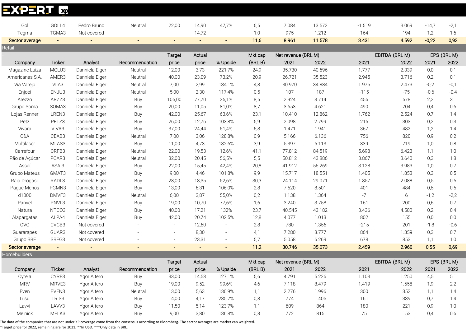| <b>EXPERU</b>           | x                       |                |                |        |                |                          |             |                     |                 |              |                |                |             |
|-------------------------|-------------------------|----------------|----------------|--------|----------------|--------------------------|-------------|---------------------|-----------------|--------------|----------------|----------------|-------------|
|                         |                         |                |                |        |                |                          |             |                     |                 |              |                |                |             |
| Gol                     | GOLL4                   | Pedro Bruno    | Neutral        | 22,00  | 14,90<br>14,72 | 47,7%                    | 6,5         | 7.084<br>975        | 13.572<br>1.212 | $-1.519$     | 3.069          | $-14,7$        | $-2,1$      |
| Tegma<br>Sector average | TGMA3<br>$\blacksquare$ | Not covered    | $\equiv$       |        | $\sim$         | $\sim$                   | 1,0<br>11,6 | 8.961               | 11.578          | 164<br>3.431 | 194<br>4.592   | 1,2<br>$-0,22$ | 1,6<br>0,93 |
| Retail                  |                         |                |                |        |                |                          |             |                     |                 |              |                |                |             |
|                         |                         |                |                | Target | Actual         |                          | Mkt cap     | Net revenue (BRL M) |                 |              | EBITDA (BRL M) |                | EPS (BRL M) |
| Company                 | <b>Ticker</b>           | Analyst        | Recommendation | price  | price          | % Upside                 | (BRLB)      | 2021                | 2022            | 2021         | 2022           | 2021           | 2022        |
| Magazine Luiza          | MGLU3                   | Danniela Eiger | Neutral        | 12,00  | 3,73           | 221,7%                   | 24,9        | 35.730              | 40.696          | 1.777        | 2.339          | 0,0            | 0,1         |
| Americanas S.A.         | AMER3                   | Danniela Eiger | Neutral        | 40,00  | 23,09          | 73,2%                    | 20,9        | 26.721              | 35.523          | 2.945        | 3.716          | 0,2            | 0,1         |
| Via Varejo              | VIIA3                   | Danniela Eiger | Neutral        | 7,00   | 2,99           | 134,1%                   | 4,8         | 30.970              | 34.884          | 1.975        | 2.473          | $-0,2$         | $-0,1$      |
| Enjoei                  | ENJU3                   | Danniela Eiger | Neutral        | 5,00   | 2,30           | 117,4%                   | 0,5         | 107                 | 187             | $-115$       | $-75$          | $-0.6$         | $-0,4$      |
| Arezzo                  | ARZZ3                   | Danniela Eiger | Buy            | 105,00 | 77,70          | 35,1%                    | 8,5         | 2.924               | 3.714           | 456          | 578            | 2,2            | 3,1         |
| Grupo Soma              | SOMA3                   | Danniela Eiger | Buy            | 20,00  | 11,05          | 81,0%                    | 8,7         | 3.653               | 4.621           | 490          | 704            | 0,4            | 0,6         |
| Lojas Renner            | LREN3                   | Danniela Eiger | Buy            | 42,00  | 25,67          | 63,6%                    | 23,1        | 10.410              | 12.862          | 1.762        | 2.524          | 0,7            | 1,4         |
| Petz                    | PETZ3                   | Danniela Eiger | Buy            | 26,00  | 12,76          | 103,8%                   | 5,9         | 2.098               | 2.799           | 216          | 303            | 0,2            | 0,3         |
| Vivara                  | VIVA3                   | Danniela Eiger | Buy            | 37,00  | 24,44          | 51,4%                    | 5,8         | 1.471               | 1.941           | 367          | 482            | 1,2            | 1,4         |
| C&A                     | CEAB3                   | Danniela Eiger | Neutral        | 7,00   | 3,06           | 128,8%                   | 0,9         | 5.166               | 6.136           | 756          | 820            | 0,9            | 0,2         |
| Multilaser              | MLAS3                   | Danniela Eiger | Buy            | 11,00  | 4,73           | 132,6%                   | 3,9         | 5.397               | 6.113           | 839          | 719            | 1,0            | 0,8         |
| Carrefour               | CRFB3                   | Danniela Eiger | Neutral        | 22,00  | 19,53          | 12,6%                    | 41,1        | 77.812              | 84.519          | 5.698        | 6.423          | 1,1            | 1,0         |
| Pão de Açúcar           | PCAR3                   | Danniela Eiger | Neutral        | 32,00  | 20,45          | 56,5%                    | 5,5         | 50.812              | 43.886          | 3.867        | 3.640          | 0,3            | 1,8         |
| Assaí                   | ASAI3                   | Danniela Eiger | Buy            | 22,00  | 15,45          | 42,4%                    | 20,8        | 41.912              | 56.269          | 3.128        | 3.983          | 1,0            | 0,7         |
| Grupo Mateus            | GMAT3                   | Danniela Eiger | Buy            | 9,00   | 4,46           | 101,8%                   | 9,9         | 15.717              | 18.551          | 1.405        | 1.853          | 0,3            | 0,5         |
| Raia Drogasil           | RADL3                   | Danniela Eiger | Buy            | 28,00  | 18,35          | 52,6%                    | 30,3        | 24.114              | 29.071          | 1.857        | 2.088          | 0,5            | 0,5         |
| Pague Menos             | PGMN3                   | Danniela Eiger | Buy            | 13,00  | 6,31           | 106,0%                   | 2,8         | 7.520               | 8.501           | 401          | 484            | 0,5            | 0,5         |
| d1000                   | DMVF3                   | Danniela Eiger | Neutral        | 6,00   | 3,87           | 55,0%                    | 0,2         | 1.138               | 1.364           | $-7$         | 6              | $-1,2$         | $-2,2$      |
| Panvel                  | PNVL3                   | Danniela Eiger | Buy            | 19,00  | 10,70          | 77,6%                    | 1,6         | 3.240               | 3.758           | 161          | 200            | 0,6            | 0,7         |
| Natura                  | NTCO3                   | Danniela Eiger | Buy            | 40,00  | 17,21          | 132%                     | 23,7        | 40.545              | 43.182          | 3.436        | 4.580          | 0,2            | 0,4         |
| Alapargatas             | ALPA4                   | Danniela Eiger | Buy            | 42,00  | 20,74          | 102,5%                   | 12,8        | 4.077               | 1.013           | 802          | 155            | 0,0            | 0,0         |
| <b>CVC</b>              | CVCB3                   | Not covered    |                |        | 12,60          | $\overline{\phantom{a}}$ | 2,8         | 780                 | 1.356           | $-215$       | 201            | $-1,8$         | $-0,6$      |
| Guararapes              | GUAR3                   | Not covered    |                |        | 8,30           | $\sim$                   | 4,1         | 7.280               | 8.777           | 864          | 1.359          | 0,3            | 0,7         |
| Grupo SBF               | SBFG3                   | Not covered    |                |        | 23,31          | $\bar{a}$                | 5,7         | 5.058               | 6.269           | 678          | 853            | 1,1            | 1,0         |
| Sector average          | $\blacksquare$          |                |                |        | $\sim$         | $\blacksquare$           | 11,2        | 30.746              | 35.073          | 2.459        | 2.960          | 0,55           | 0,69        |
| <b>Homebuilders</b>     |                         |                |                |        |                |                          |             |                     |                 |              |                |                |             |
|                         |                         |                |                | Target | Actual         |                          | Mkt cap     | Net revenue (BRL M) |                 |              | EBITDA (BRL M) |                | EPS (BRL M) |
| Company                 | Ticker                  | Analyst        | Recommendation | price  | price          | % Upside                 | (BRLB)      | 2021                | 2022            | 2021         | 2022           | 2021           | 2022        |
| Cyrela                  | CYRE3                   | Ygor Altero    | Buy            | 33,00  | 14,53          | 127,1%                   | 5,6         | 4.791               | 5.226           | 1.103        | 1.250          | 4,5            | 5,1         |
| <b>MRV</b>              | MRVE3                   | Ygor Altero    | Buy            | 19,00  | 9,52           | 99,6%                    | 4,6         | 7.118               | 8.479           | 1.419        | 1.558          | 1,9            | 2,2         |
| Even                    | EVEN3                   | Ygor Altero    | Neutral        | 13,00  | 5,63           | 130,9%                   | 1,1         | 2.276               | 1.996           | 300          | 352            | 1,1            | 1,4         |
| Trisul                  | TRIS3                   | Ygor Altero    | Buy            | 14,00  | 4,17           | 235,7%                   | 0,8         | 774                 | 1.405           | 161          | 339            | 0,7            | 1,4         |
| Lavvi                   | LAVV3                   | Ygor Altero    | Buy            | 11,50  | 5,14           | 123,7%                   | 1,1         | 609                 | 864             | 180          | 221            | 0,9            | 1,0         |
| Melnick                 | MELK3                   | Ygor Altero    | Buy            | 9,00   | 3,80           | 136,8%                   | 0,8         | 772                 | 815             | 75           | 153            | 0,4            | 0,6         |

The data of the companies that are not under XP coverage come from the consensus according to Bloomberg. The sector averages are market cap weighted.

\*Target price for 2022, remaining are for 2021. \*\*In USD. \*\*\*Only data in BRL.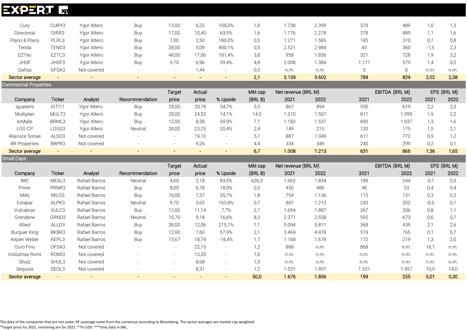# **EXPERT &**

| Cury                         | CURY3          | Ygor Altero    | Buy            | 13,00  | 6,25           | 108,0%                   | 1,8     | 1.738               | 2.399 | 379                 | 489            | 1,0    | 1,3         |
|------------------------------|----------------|----------------|----------------|--------|----------------|--------------------------|---------|---------------------|-------|---------------------|----------------|--------|-------------|
| Direcional                   | DIRR3          | Ygor Altero    | Buy            | 17,00  | 10,40          | 63,5%                    | 1,6     | 1.776               | 2.278 | 378                 | 489            | 1,1    | 1,6         |
| Plano & Plano                | PLPL3          | Ygor Altero    | Buy            | 7,00   | 2,50           | 180,0%                   | 0,5     | 1.271               | 1.585 | 185                 | 310            | 0,7    | 0,8         |
| Tenda                        | TEND3          | Ygor Altero    | Buy            | 28,00  | 5,09           | 450,1%                   | 0,5     | 2.521               | 2.984 | 43                  | 360            | $-1,5$ | 2,3         |
| EZTec                        | EZTC3          | Ygor Altero    | Buy            | 48,00  | 17,06          | 181,4%                   | 3,8     | 958                 | 1.836 | 321                 | 728            | 1,9    | 3,2         |
| <b>JHSF</b>                  | JHSF3          | Ygor Altero    | Buy            | 9,70   | 6,96           | 39,4%                    | 4,8     | 2.008               | 1.384 | 1.171               | 579            | 1,4    | 0,5         |
| Gafisa                       | GFSA3          | Not covered    | $\sim$         |        | 1,44           |                          | 0,5     | n.m.                | n.m.  | $\mathsf{O}\xspace$ | $\overline{0}$ | n.m.   | n.m.        |
| Sector average               | $\blacksquare$ | $\blacksquare$ | $\blacksquare$ |        | $\blacksquare$ | $\blacksquare$           | 2,1     | 3.159               | 3.602 | 789                 | 829            | 2,02   | 2,38        |
| <b>Commercial Properties</b> |                |                |                |        |                |                          |         |                     |       |                     |                |        |             |
|                              |                |                |                | Target | Actual         |                          | Mkt cap | Net revenue (BRL M) |       |                     | EBITDA (BRL M) |        | EPS (BRL M) |
| Company                      | Ticker         | Analyst        | Recommendation | price  | price          | % Upside                 | (BRLB)  | 2021                | 2022  | 2021                | 2022           | 2021   | 2022        |
| Iguatemi                     | IGTI11         | Ygor Altero    | Buy            | 28,00  | 20,78          | 34,7%                    | 5,5     | 867                 | 894   | 550                 | 619            | 2,2    | 2,3         |
| Multiplan                    | MULT3          | Ygor Altero    | Buy            | 28,00  | 24,53          | 14,1%                    | 14,5    | 1.310               | 1.507 | 811                 | 1.099          | 1,9    | 2,2         |
| brMalls                      | BRML3          | Ygor Altero    | Buy            | 12,00  | 8,58           | 39,9%                    | 7,1     | 1.183               | 1.537 | 690                 | 1.037          | 1,3    | 1,6         |
| LOG CP                       | LOGG3          | Ygor Altero    | Neutral        | 28,00  | 23,25          | 20,4%                    | 2,4     | 149                 | 215   | 120                 | 175            | 1,5    | 2,1         |
| Aliansce Sonae               | ALSO3          | Not covered    |                |        | 19,10          | $\sim$                   | 5,1     | 887                 | 1.049 | 611                 | 772            | 0,9    | 1,2         |
| <b>BR</b> Properties         | BRPR3          | Not covered    |                |        | 9,26           | $\blacksquare$           | 4,4     | 334                 | 449   | 240                 | 299            | 0,2    | 0,1         |
| Sector average               | $\blacksquare$ | $\blacksquare$ |                |        | $\equiv$       | $\blacksquare$           | 6,7     | 1.008               | 1.213 | 631                 | 866            | 1,36   | 1,65        |
|                              |                |                |                |        |                |                          |         |                     |       |                     |                |        |             |
| <b>Small Caps</b>            |                |                |                |        |                |                          |         |                     |       |                     |                |        |             |
|                              |                |                |                | Target | Actual         |                          | Mkt cap | Net revenue (BRL M) |       |                     | EBITDA (BRL M) |        | EPS (BRL M) |
| Company                      | Ticker         | Analyst        | Recommendation | price  | price          | % Upside                 | (BRLB)  | 2021                | 2022  | 2021                | 2022           | 2021   | 2022        |
| <b>IMC</b>                   | MEAL3          | Rafael Barros  | Neutral        | 4,00   | 2,18           | 83,5%                    | 626,3   | 1.662               | 1.834 | 189                 | 244            | $-0,1$ | 0,3         |
| Priner                       | PRNR3          | Rafael Barros  | Buy            | 8,00   | 6,78           | 18,0%                    | 0,3     | 450                 | 486   | 48                  | 53             | 0,4    | 0,4         |
| Mills                        | MILS3          | Rafael Barros  | Buy            | 10,00  | 7,37           | 35,7%                    | 1,8     | 754                 | 1.136 | 115                 | 131            | 0,3    | 0,3         |
| Estapar                      | ALPK3          | Rafael Barros  | Neutral        | 9,70   | 3,65           | 165,8%                   | 0,7     | 887                 | 1.213 | 243                 | 352            | $-0,5$ | 0,1         |
| Vulcabras                    | VULC3          | Rafael Barros  | Buy            | 12,00  | 11,14          | 7,7%                     | 2,7     | 1.694               | 1.887 | 267                 | 336            | 0,8    | 1,1         |
| Grendene                     | GRND3          | Rafael Barros  | Neutral        | 10,70  | 9,18           | 16,6%                    | 8,3     | 2.371               | 2.558 | 595                 | 673            | 0,6    | 0,7         |
| Allied                       | ALLD3          | Rafael Barros  | Buy            | 38,00  | 12,06          | 215,1%                   | 1,1     | 5.094               | 5.811 | 368                 | 439            | 2,1    | 2,6         |
| <b>Burguer King</b>          | BKBR3          | Rafael Barros  | Buy            | 12,00  | 7,60           | 57,9%                    | 2,1     | 3.469               | 4.478 | 519                 | 765            | 0,1    | 0,7         |
| Kepler Weber                 | KEPL3          | Rafael Barros  | Buy            | 15,67  | 18,74          | $-16,4%$                 | 1,7     | 1.168               | 1.678 | 172                 | 219            | 1,3    | 2,0         |
| Ouro Fino                    | OFSA3          | Not covered    |                |        | 22,15          | $\overline{\phantom{a}}$ | 1,2     | 868                 | n.m.  | 868                 | n.m.           | 16,1   | n.m.        |
| Indústrias Romi              | ROMI3          | Not covered    |                |        | 13,20          | $\equiv$                 | 1,0     | n.m.                | n.m.  | n.m.                | n.m.           | n.m.   | n.m.        |
| Shulz                        | SHUL3          | Not covered    |                |        | 8,68           | $\overline{\phantom{a}}$ | 1,5     | n.m.                | n.m.  | n.m.                | n.m.           | n.m.   | n.m.        |
| Sequoia                      | SEQL3          | Not covered    |                |        | 8,31           | $\sim$                   | 1,2     | 1.531               | 1.957 | 1.531               | 1.957          | 10,9   | 14,0        |